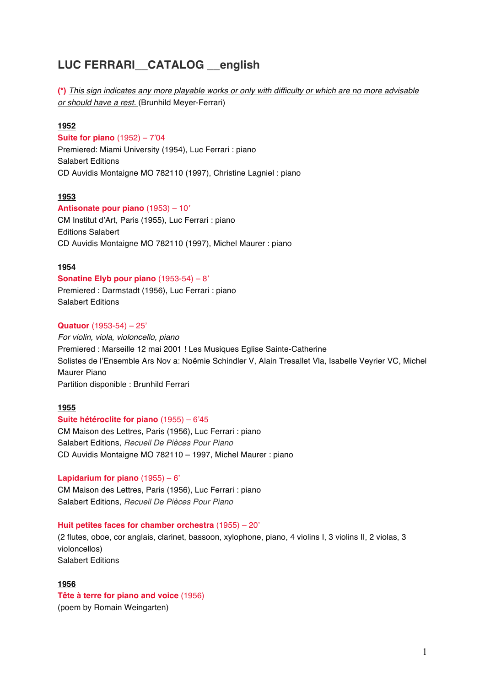# **LUC FERRARI\_\_CATALOG \_\_english**

(\*) This sign indicates any more playable works or only with difficulty or which are no more advisable *or should have a rest.* (Brunhild Meyer-Ferrari)

### **1952**

#### **Suite for piano** (1952) – 7'04

Premiered: Miami University (1954), Luc Ferrari : piano Salabert Editions CD Auvidis Montaigne MO 782110 (1997), Christine Lagniel : piano

#### **1953**

#### **Antisonate pour piano** (1953) – 10′

CM Institut d'Art, Paris (1955), Luc Ferrari : piano Editions Salabert CD Auvidis Montaigne MO 782110 (1997), Michel Maurer : piano

### **1954**

#### **Sonatine Elyb pour piano** (1953-54) – 8'

Premiered : Darmstadt (1956), Luc Ferrari : piano Salabert Editions

# **Quatuor** (1953-54) – 25'

*For violin, viola, violoncello, piano* Premiered : Marseille 12 mai 2001 ! Les Musiques Eglise Sainte-Catherine Solistes de l'Ensemble Ars Nov a: Noëmie Schindler V, Alain Tresallet Vla, Isabelle Veyrier VC, Michel Maurer Piano Partition disponible : Brunhild Ferrari

# **1955**

#### **Suite hétéroclite for piano** (1955) – 6'45

CM Maison des Lettres, Paris (1956), Luc Ferrari : piano Salabert Editions, *Recueil De Pièces Pour Piano* CD Auvidis Montaigne MO 782110 – 1997, Michel Maurer : piano

#### **Lapidarium for piano**  $(1955) - 6'$

CM Maison des Lettres, Paris (1956), Luc Ferrari : piano Salabert Editions, *Recueil De Pièces Pour Piano*

#### **Huit petites faces for chamber orchestra** (1955) – 20'

(2 flutes, oboe, cor anglais, clarinet, bassoon, xylophone, piano, 4 violins I, 3 violins II, 2 violas, 3 violoncellos) Salabert Editions

#### **1956**

# **Tête à terre for piano and voice** (1956)

(poem by Romain Weingarten)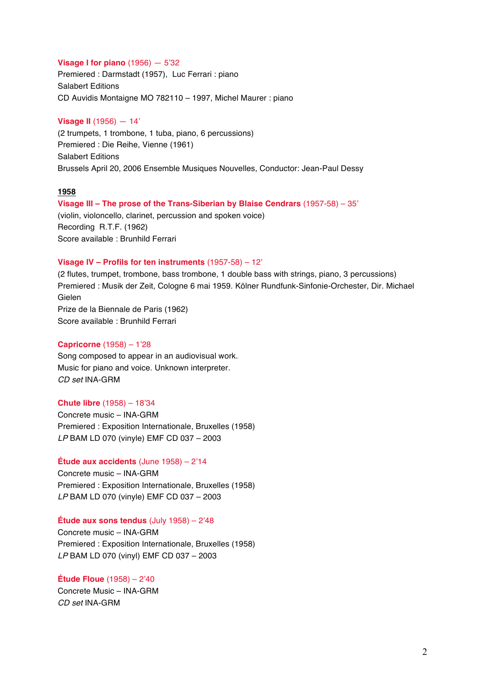#### **Visage I for piano** (1956) — 5'32

Premiered : Darmstadt (1957), Luc Ferrari : piano Salabert Editions CD Auvidis Montaigne MO 782110 – 1997, Michel Maurer : piano

#### **Visage II** (1956) — 14'

(2 trumpets, 1 trombone, 1 tuba, piano, 6 percussions) Premiered : Die Reihe, Vienne (1961) Salabert Editions Brussels April 20, 2006 Ensemble Musiques Nouvelles, Conductor: Jean-Paul Dessy

# **1958**

**Visage III – The prose of the Trans-Siberian by Blaise Cendrars** (1957-58) – 35' (violin, violoncello, clarinet, percussion and spoken voice) Recording R.T.F. (1962) Score available : Brunhild Ferrari

#### **Visage IV – Profils for ten instruments** (1957-58) – 12'

(2 flutes, trumpet, trombone, bass trombone, 1 double bass with strings, piano, 3 percussions) Premiered : Musik der Zeit, Cologne 6 mai 1959. Kölner Rundfunk-Sinfonie-Orchester, Dir. Michael Gielen Prize de la Biennale de Paris (1962)

Score available : Brunhild Ferrari

### **Capricorne** (1958) – 1'28

Song composed to appear in an audiovisual work. Music for piano and voice. Unknown interpreter. *CD set* INA-GRM

#### **Chute libre** (1958) – 18'34

Concrete music – INA-GRM Premiered : Exposition Internationale, Bruxelles (1958) *LP* BAM LD 070 (vinyle) EMF CD 037 – 2003

#### **Étude aux accidents** (June 1958) – 2'14

Concrete music – INA-GRM Premiered : Exposition Internationale, Bruxelles (1958) *LP* BAM LD 070 (vinyle) EMF CD 037 – 2003

# **Étude aux sons tendus** (July 1958) – 2'48

Concrete music – INA-GRM Premiered : Exposition Internationale, Bruxelles (1958) *LP* BAM LD 070 (vinyl) EMF CD 037 – 2003

# **Étude Floue** (1958) – 2'40

Concrete Music – INA-GRM *CD set* INA-GRM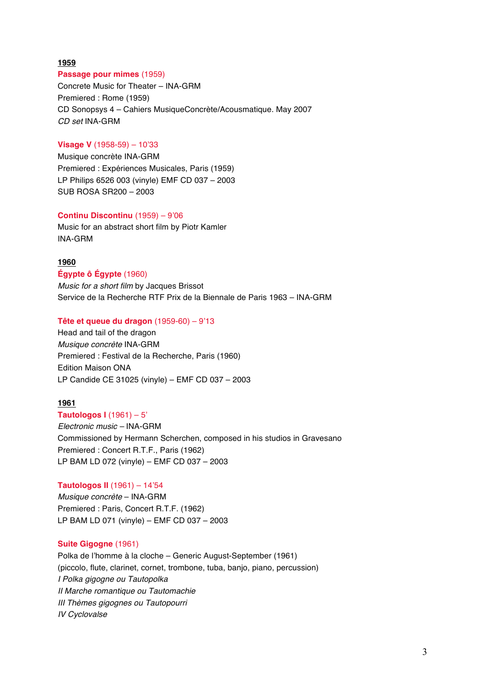### **1959**

#### **Passage pour mimes** (1959)

Concrete Music for Theater – INA-GRM Premiered : Rome (1959) CD Sonopsys 4 – Cahiers MusiqueConcrète/Acousmatique. May 2007 *CD set* INA-GRM

# **Visage V** (1958-59) – 10'33

Musique concrète INA-GRM Premiered : Expériences Musicales, Paris (1959) LP Philips 6526 003 (vinyle) EMF CD 037 – 2003 SUB ROSA SR200 – 2003

### **Continu Discontinu** (1959) – 9'06

Music for an abstract short film by Piotr Kamler INA-GRM

# **1960**

### **Égypte ô Égypte** (1960)

*Music for a short film* by Jacques Brissot Service de la Recherche RTF Prix de la Biennale de Paris 1963 – INA-GRM

### **Tête et queue du dragon** (1959-60) – 9'13

Head and tail of the dragon *Musique concrète* INA-GRM Premiered : Festival de la Recherche, Paris (1960) Edition Maison ONA LP Candide CE 31025 (vinyle) – EMF CD 037 – 2003

### **1961**

# **Tautologos I** (1961) – 5'

*Electronic music –* INA-GRM Commissioned by Hermann Scherchen, composed in his studios in Gravesano Premiered : Concert R.T.F., Paris (1962) LP BAM LD 072 (vinyle) – EMF CD 037 – 2003

# **Tautologos II** (1961) – 14'54

*Musique concrète* – INA-GRM Premiered : Paris, Concert R.T.F. (1962) LP BAM LD 071 (vinyle) – EMF CD 037 – 2003

#### **Suite Gigogne** (1961)

Polka de l'homme à la cloche – Generic August-September (1961) (piccolo, flute, clarinet, cornet, trombone, tuba, banjo, piano, percussion) *I Polka gigogne ou Tautopolka II Marche romantique ou Tautomachie III Thèmes gigognes ou Tautopourri IV Cyclovalse*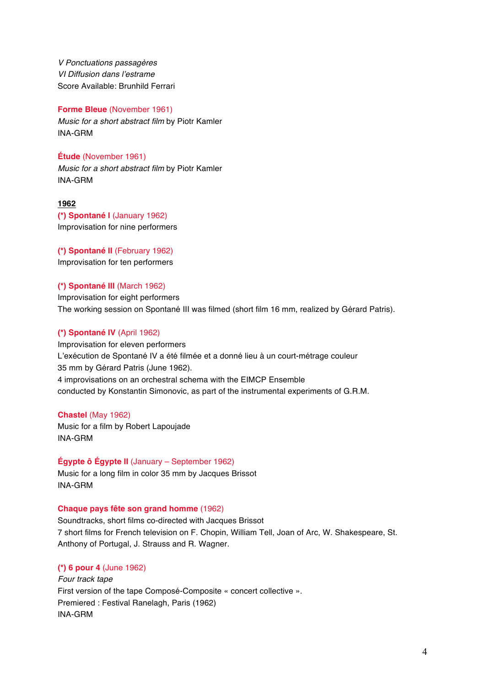*V Ponctuations passagères VI Diffusion dans l'estrame* Score Available: Brunhild Ferrari

#### **Forme Bleue** (November 1961)

*Music for a short abstract film* by Piotr Kamler INA-GRM

### **Étude** (November 1961)

*Music for a short abstract film* by Piotr Kamler INA-GRM

**1962 (\*) Spontané I** (January 1962) Improvisation for nine performers

**(\*) Spontané II** (February 1962) Improvisation for ten performers

# **(\*) Spontané III** (March 1962)

Improvisation for eight performers The working session on Spontané III was filmed (short film 16 mm, realized by Gérard Patris).

# **(\*) Spontané IV** (April 1962)

Improvisation for eleven performers L'exécution de Spontané IV a été filmée et a donné lieu à un court-métrage couleur 35 mm by Gérard Patris (June 1962). 4 improvisations on an orchestral schema with the EIMCP Ensemble conducted by Konstantin Simonovic, as part of the instrumental experiments of G.R.M.

# **Chastel** (May 1962)

Music for a film by Robert Lapoujade INA-GRM

# **Égypte ô Égypte II** (January – September 1962)

Music for a long film in color 35 mm by Jacques Brissot INA-GRM

# **Chaque pays fête son grand homme** (1962)

Soundtracks, short films co-directed with Jacques Brissot 7 short films for French television on F. Chopin, William Tell, Joan of Arc, W. Shakespeare, St. Anthony of Portugal, J. Strauss and R. Wagner.

# **(\*) 6 pour 4** (June 1962)

*Four track tape* First version of the tape Composé-Composite « concert collective ». Premiered : Festival Ranelagh, Paris (1962) INA-GRM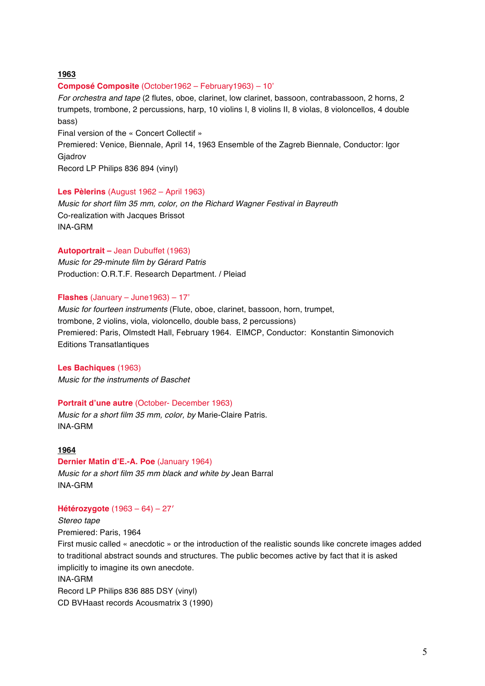### **1963**

#### **Composé Composite** (October1962 – February1963) – 10'

*For orchestra and tape* (2 flutes, oboe, clarinet, low clarinet, bassoon, contrabassoon, 2 horns, 2 trumpets, trombone, 2 percussions, harp, 10 violins I, 8 violins II, 8 violas, 8 violoncellos, 4 double bass)

Final version of the « Concert Collectif »

Premiered: Venice, Biennale, April 14, 1963 Ensemble of the Zagreb Biennale, Conductor: Igor Gjadrov

Record LP Philips 836 894 (vinyl)

### **Les Pèlerins** (August 1962 – April 1963)

*Music for short film 35 mm, color, on the Richard Wagner Festival in Bayreuth* Co-realization with Jacques Brissot INA-GRM

#### **Autoportrait –** Jean Dubuffet (1963)

*Music for 29-minute film by Gérard Patris* Production: O.R.T.F. Research Department. / Pleiad

#### **Flashes** (January – June1963) – 17'

*Music for fourteen instruments* (Flute, oboe, clarinet, bassoon, horn, trumpet, trombone, 2 violins, viola, violoncello, double bass, 2 percussions) Premiered: Paris, Olmstedt Hall, February 1964. EIMCP, Conductor: Konstantin Simonovich Editions Transatlantiques

**Les Bachiques** (1963) *Music for the instruments of Baschet*

#### **Portrait d'une autre** (October- December 1963)

*Music for a short film 35 mm, color, by* Marie-Claire Patris. INA-GRM

# **1964**

# **Dernier Matin d'E.-A. Poe** (January 1964)

*Music for a short film 35 mm black and white by* Jean Barral INA-GRM

#### **Hétérozygote** (1963 – 64) – 27′

*Stereo tape* Premiered: Paris, 1964 First music called « anecdotic » or the introduction of the realistic sounds like concrete images added to traditional abstract sounds and structures. The public becomes active by fact that it is asked implicitly to imagine its own anecdote. INA-GRM Record LP Philips 836 885 DSY (vinyl) CD BVHaast records Acousmatrix 3 (1990)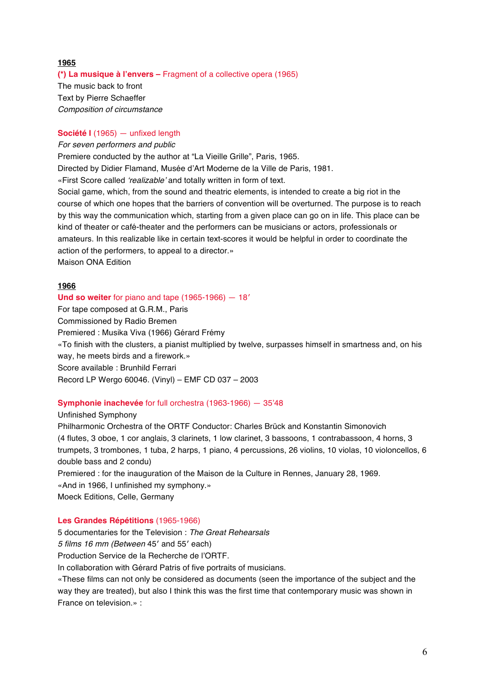# **1965 (\*) La musique à l'envers –** Fragment of a collective opera (1965) The music back to front Text by Pierre Schaeffer

*Composition of circumstance*

# **Société I** (1965) — unfixed length

# *For seven performers and public*

Premiere conducted by the author at "La Vieille Grille", Paris, 1965.

Directed by Didier Flamand, Musée d'Art Moderne de la Ville de Paris, 1981.

«First Score called *'realizable'* and totally written in form of text.

Social game, which, from the sound and theatric elements, is intended to create a big riot in the course of which one hopes that the barriers of convention will be overturned. The purpose is to reach by this way the communication which, starting from a given place can go on in life. This place can be kind of theater or café-theater and the performers can be musicians or actors, professionals or amateurs. In this realizable like in certain text-scores it would be helpful in order to coordinate the action of the performers, to appeal to a director.» Maison ONA Edition

# **1966**

# **Und so weiter** for piano and tape (1965-1966) — 18′

For tape composed at G.R.M., Paris Commissioned by Radio Bremen Premiered : Musika Viva (1966) Gérard Frémy «To finish with the clusters, a pianist multiplied by twelve, surpasses himself in smartness and, on his way, he meets birds and a firework.» Score available : Brunhild Ferrari Record LP Wergo 60046. (Vinyl) – EMF CD 037 – 2003

# **Symphonie inachevée** for full orchestra (1963-1966) — 35'48

# Unfinished Symphony Philharmonic Orchestra of the ORTF Conductor: Charles Brück and Konstantin Simonovich (4 flutes, 3 oboe, 1 cor anglais, 3 clarinets, 1 low clarinet, 3 bassoons, 1 contrabassoon, 4 horns, 3 trumpets, 3 trombones, 1 tuba, 2 harps, 1 piano, 4 percussions, 26 violins, 10 violas, 10 violoncellos, 6 double bass and 2 condu) Premiered : for the inauguration of the Maison de la Culture in Rennes, January 28, 1969.

«And in 1966, I unfinished my symphony.»

Moeck Editions, Celle, Germany

# **Les Grandes Répétitions** (1965-1966)

5 documentaries for the Television : *The Great Rehearsals 5 films 16 mm (Between* 45′ and 55′ each) Production Service de la Recherche de l'ORTF. In collaboration with Gérard Patris of five portraits of musicians.

«These films can not only be considered as documents (seen the importance of the subject and the way they are treated), but also I think this was the first time that contemporary music was shown in France on television.» :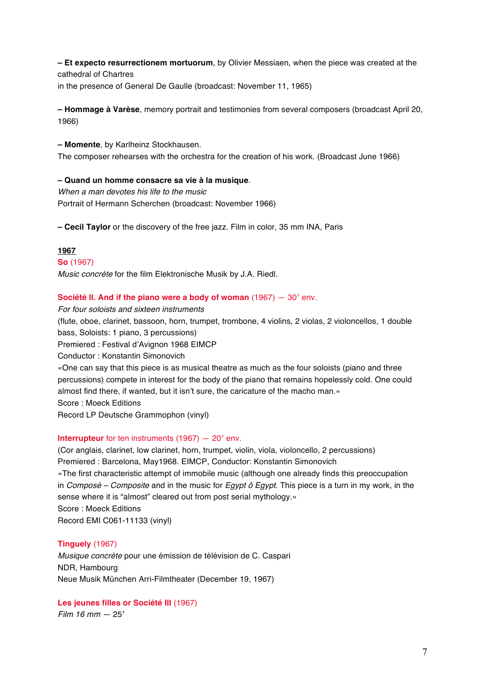**– Et expecto resurrectionem mortuorum**, by Olivier Messiaen, when the piece was created at the cathedral of Chartres

in the presence of General De Gaulle (broadcast: November 11, 1965)

**– Hommage à Varèse**, memory portrait and testimonies from several composers (broadcast April 20, 1966)

**– Momente**, by Karlheinz Stockhausen. The composer rehearses with the orchestra for the creation of his work. (Broadcast June 1966)

# **– Quand un homme consacre sa vie à la musique**.

*When a man devotes his life to the music* Portrait of Hermann Scherchen (broadcast: November 1966)

**– Cecil Taylor** or the discovery of the free jazz. Film in color, 35 mm INA, Paris

# **1967**

**So** (1967)

*Music concrète* for the film Elektronische Musik by J.A. Riedl.

### **Société II. And if the piano were a body of woman** (1967) — 30′ env.

*For four soloists and sixteen instruments* (flute, oboe, clarinet, bassoon, horn, trumpet, trombone, 4 violins, 2 violas, 2 violoncellos, 1 double bass, Soloists: 1 piano, 3 percussions) Premiered : Festival d'Avignon 1968 EIMCP Conductor : Konstantin Simonovich «One can say that this piece is as musical theatre as much as the four soloists (piano and three percussions) compete in interest for the body of the piano that remains hopelessly cold. One could almost find there, if wanted, but it isn't sure, the caricature of the macho man.» Score : Moeck Editions Record LP Deutsche Grammophon (vinyl)

#### **Interrupteur** for ten instruments (1967) — 20′ env.

(Cor anglais, clarinet, low clarinet, horn, trumpet, violin, viola, violoncello, 2 percussions) Premiered : Barcelona, May1968. EIMCP, Conductor: Konstantin Simonovich «The first characteristic attempt of immobile music (although one already finds this preoccupation in *Composé – Composite* and in the music for *Egypt ô Egypt*. This piece is a turn in my work, in the sense where it is "almost" cleared out from post serial mythology.» Score : Moeck Editions Record EMI C061-11133 (vinyl)

# **Tinguely** (1967)

*Musique concrète* pour une émission de télévision de C. Caspari NDR, Hambourg Neue Musik München Arri-Filmtheater (December 19, 1967)

#### **Les jeunes filles or Société III** (1967)

*Film 16 mm —* 25′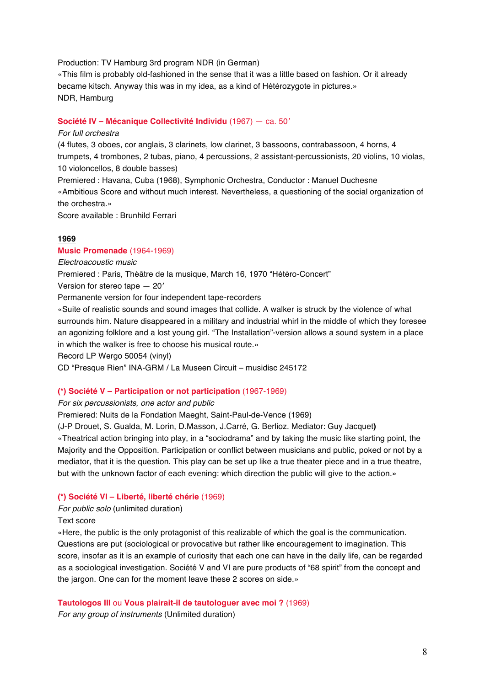#### Production: TV Hamburg 3rd program NDR (in German)

«This film is probably old-fashioned in the sense that it was a little based on fashion. Or it already became kitsch. Anyway this was in my idea, as a kind of Hétérozygote in pictures.» NDR, Hamburg

#### **Société IV – Mécanique Collectivité Individu** (1967) — ca. 50′

#### *For full orchestra*

(4 flutes, 3 oboes, cor anglais, 3 clarinets, low clarinet, 3 bassoons, contrabassoon, 4 horns, 4 trumpets, 4 trombones, 2 tubas, piano, 4 percussions, 2 assistant-percussionists, 20 violins, 10 violas, 10 violoncellos, 8 double basses)

Premiered : Havana, Cuba (1968), Symphonic Orchestra, Conductor : Manuel Duchesne «Ambitious Score and without much interest. Nevertheless, a questioning of the social organization of the orchestra.»

Score available : Brunhild Ferrari

#### **1969**

#### **Music Promenade** (1964-1969)

*Electroacoustic music*

Premiered : Paris, Théâtre de la musique, March 16, 1970 "Hétéro-Concert"

Version for stereo tape — 20′

Permanente version for four independent tape-recorders

«Suite of realistic sounds and sound images that collide. A walker is struck by the violence of what surrounds him. Nature disappeared in a military and industrial whirl in the middle of which they foresee an agonizing folklore and a lost young girl. "The Installation"-version allows a sound system in a place in which the walker is free to choose his musical route.»

Record LP Wergo 50054 (vinyl)

CD "Presque Rien" INA-GRM / La Museen Circuit – musidisc 245172

#### **(\*) Société V – Participation or not participation** (1967-1969)

#### *For six percussionists, one actor and public*

Premiered: Nuits de la Fondation Maeght, Saint-Paul-de-Vence (1969)

(J-P Drouet, S. Gualda, M. Lorin, D.Masson, J.Carré, G. Berlioz. Mediator: Guy Jacquet**)**

«Theatrical action bringing into play, in a "sociodrama" and by taking the music like starting point, the Majority and the Opposition. Participation or conflict between musicians and public, poked or not by a mediator, that it is the question. This play can be set up like a true theater piece and in a true theatre, but with the unknown factor of each evening: which direction the public will give to the action.»

### **(\*) Société VI – Liberté, liberté chérie** (1969)

*For public solo* (unlimited duration)

#### Text score

«Here, the public is the only protagonist of this realizable of which the goal is the communication. Questions are put (sociological or provocative but rather like encouragement to imagination. This score, insofar as it is an example of curiosity that each one can have in the daily life, can be regarded as a sociological investigation. Société V and VI are pure products of "68 spirit" from the concept and the jargon. One can for the moment leave these 2 scores on side.»

#### **Tautologos III** ou **Vous plairait-il de tautologuer avec moi ?** (1969)

*For any group of instruments* (Unlimited duration)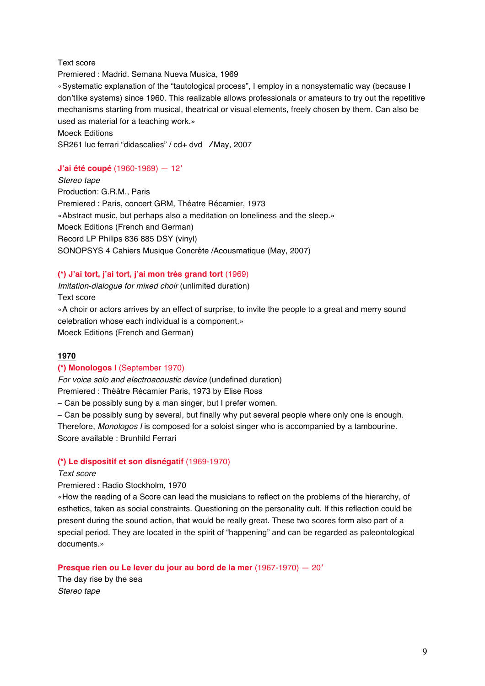Text score Premiered : Madrid. Semana Nueva Musica, 1969 «Systematic explanation of the "tautological process", I employ in a nonsystematic way (because I don'tlike systems) since 1960. This realizable allows professionals or amateurs to try out the repetitive mechanisms starting from musical, theatrical or visual elements, freely chosen by them. Can also be used as material for a teaching work.» Moeck Editions SR261 luc ferrari "didascalies" / cd+ dvd */* May, 2007

# **J'ai été coupé** (1960-1969) — 12′

*Stereo tape* Production: G.R.M., Paris Premiered : Paris, concert GRM, Théatre Récamier, 1973 «Abstract music, but perhaps also a meditation on loneliness and the sleep.» Moeck Editions (French and German) Record LP Philips 836 885 DSY (vinyl) SONOPSYS 4 Cahiers Musique Concrète /Acousmatique (May, 2007)

# **(\*) J'ai tort, j'ai tort, j'ai mon très grand tort** (1969)

*Imitation-dialogue for mixed choir* (unlimited duration)

Text score

«A choir or actors arrives by an effect of surprise, to invite the people to a great and merry sound celebration whose each individual is a component.» Moeck Editions (French and German)

# **1970**

# **(\*) Monologos I** (September 1970)

*For voice solo and electroacoustic device* (undefined duration)

Premiered : Théâtre Récamier Paris, 1973 by Elise Ross

– Can be possibly sung by a man singer, but I prefer women.

– Can be possibly sung by several, but finally why put several people where only one is enough. Therefore, *Monologos I* is composed for a soloist singer who is accompanied by a tambourine. Score available : Brunhild Ferrari

# **(\*) Le dispositif et son disnégatif** (1969-1970)

#### *Text score*

#### Premiered : Radio Stockholm, 1970

«How the reading of a Score can lead the musicians to reflect on the problems of the hierarchy, of esthetics, taken as social constraints. Questioning on the personality cult. If this reflection could be present during the sound action, that would be really great. These two scores form also part of a special period. They are located in the spirit of "happening" and can be regarded as paleontological documents.»

**Presque rien ou Le lever du jour au bord de la mer** (1967-1970) — 20′

The day rise by the sea *Stereo tape*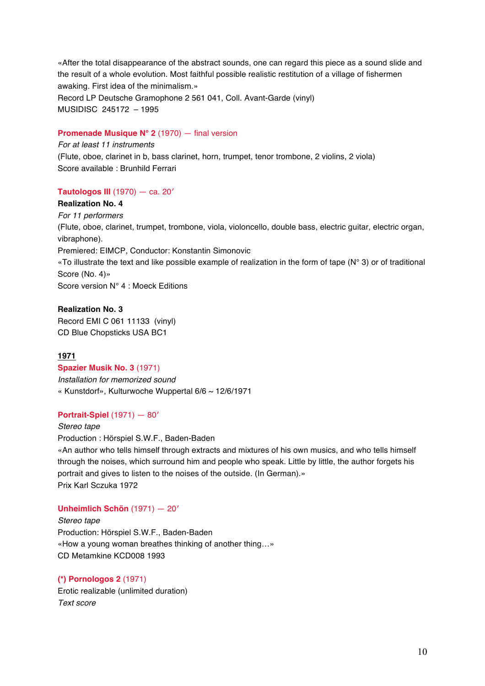«After the total disappearance of the abstract sounds, one can regard this piece as a sound slide and the result of a whole evolution. Most faithful possible realistic restitution of a village of fishermen awaking. First idea of the minimalism.» Record LP Deutsche Gramophone 2 561 041, Coll. Avant-Garde (vinyl) MUSIDISC 245172 – 1995

# **Promenade Musique N° 2** (1970) — final version

*For at least 11 instruments* (Flute, oboe, clarinet in b, bass clarinet, horn, trumpet, tenor trombone, 2 violins, 2 viola) Score available : Brunhild Ferrari

# **Tautologos III** (1970) — ca. 20′

# **Realization No. 4**

*For 11 performers* (Flute, oboe, clarinet, trumpet, trombone, viola, violoncello, double bass, electric guitar, electric organ, vibraphone). Premiered: EIMCP, Conductor: Konstantin Simonovic «To illustrate the text and like possible example of realization in the form of tape (N° 3) or of traditional Score (No. 4)» Score version N° 4 : Moeck Editions

**Realization No. 3** Record EMI C 061 11133 (vinyl) CD Blue Chopsticks USA BC1

# **1971**

**Spazier Musik No. 3** (1971)

*Installation for memorized sound* « Kunstdorf», Kulturwoche Wuppertal 6/6 ~ 12/6/1971

# **Portrait-Spiel** (1971) — 80′

*Stereo tape* Production : Hörspiel S.W.F., Baden-Baden «An author who tells himself through extracts and mixtures of his own musics, and who tells himself through the noises, which surround him and people who speak. Little by little, the author forgets his portrait and gives to listen to the noises of the outside. (In German).» Prix Karl Sczuka 1972

# **Unheimlich Schön** (1971) — 20′

*Stereo tape* Production: Hörspiel S.W.F., Baden-Baden «How a young woman breathes thinking of another thing…» CD Metamkine KCD008 1993

# **(\*) Pornologos 2** (1971)

Erotic realizable (unlimited duration) *Text score*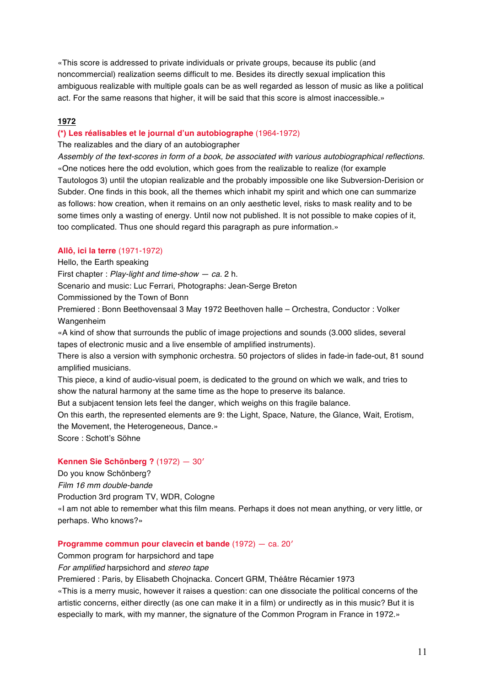«This score is addressed to private individuals or private groups, because its public (and noncommercial) realization seems difficult to me. Besides its directly sexual implication this ambiguous realizable with multiple goals can be as well regarded as lesson of music as like a political act. For the same reasons that higher, it will be said that this score is almost inaccessible.»

# **1972**

# **(\*) Les réalisables et le journal d'un autobiographe** (1964-1972)

The realizables and the diary of an autobiographer

*Assembly of the text-scores in form of a book, be associated with various autobiographical reflections.* «One notices here the odd evolution, which goes from the realizable to realize (for example Tautologos 3) until the utopian realizable and the probably impossible one like Subversion-Derision or Subder. One finds in this book, all the themes which inhabit my spirit and which one can summarize as follows: how creation, when it remains on an only aesthetic level, risks to mask reality and to be some times only a wasting of energy. Until now not published. It is not possible to make copies of it, too complicated. Thus one should regard this paragraph as pure information.»

# **Allô, ici la terre** (1971-1972)

Hello, the Earth speaking First chapter : *Play-light and time-show — ca.* 2 h. Scenario and music: Luc Ferrari, Photographs: Jean-Serge Breton Commissioned by the Town of Bonn Premiered : Bonn Beethovensaal 3 May 1972 Beethoven halle – Orchestra, Conductor : Volker Wangenheim «A kind of show that surrounds the public of image projections and sounds (3.000 slides, several tapes of electronic music and a live ensemble of amplified instruments). There is also a version with symphonic orchestra. 50 projectors of slides in fade-in fade-out, 81 sound amplified musicians. This piece, a kind of audio-visual poem, is dedicated to the ground on which we walk, and tries to show the natural harmony at the same time as the hope to preserve its balance. But a subjacent tension lets feel the danger, which weighs on this fragile balance. On this earth, the represented elements are 9: the Light, Space, Nature, the Glance, Wait, Erotism, the Movement, the Heterogeneous, Dance.»

Score : Schott's Söhne

# **Kennen Sie Schönberg ?** (1972) — 30′

Do you know Schönberg?

*Film 16 mm double-bande*

Production 3rd program TV, WDR, Cologne

«I am not able to remember what this film means. Perhaps it does not mean anything, or very little, or perhaps. Who knows?»

# **Programme commun pour clavecin et bande** (1972) — ca. 20′

Common program for harpsichord and tape *For amplified* harpsichord and *stereo tape*

Premiered : Paris, by Elisabeth Chojnacka. Concert GRM, Théâtre Récamier 1973

«This is a merry music, however it raises a question: can one dissociate the political concerns of the artistic concerns, either directly (as one can make it in a film) or undirectly as in this music? But it is especially to mark, with my manner, the signature of the Common Program in France in 1972.»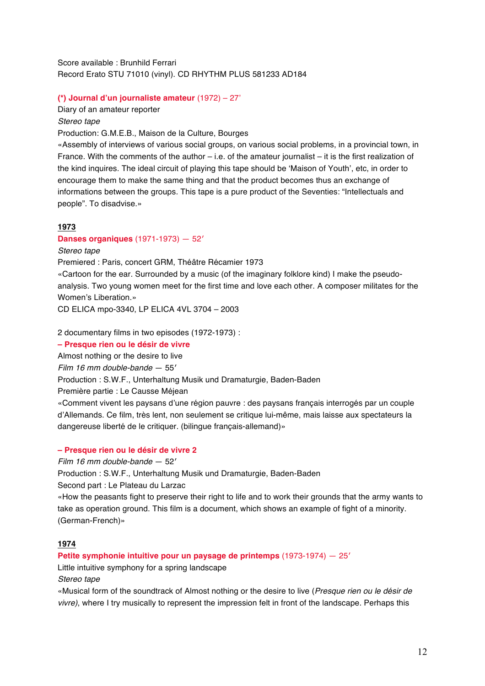# Score available : Brunhild Ferrari Record Erato STU 71010 (vinyl). CD RHYTHM PLUS 581233 AD184

# **(\*) Journal d'un journaliste amateur** (1972) – 27'

Diary of an amateur reporter

*Stereo tape*

Production: G.M.E.B., Maison de la Culture, Bourges

«Assembly of interviews of various social groups, on various social problems, in a provincial town, in France. With the comments of the author  $-$  i.e. of the amateur journalist  $-$  it is the first realization of the kind inquires. The ideal circuit of playing this tape should be 'Maison of Youth', etc, in order to encourage them to make the same thing and that the product becomes thus an exchange of informations between the groups. This tape is a pure product of the Seventies: "Intellectuals and people". To disadvise.»

# **1973**

# **Danses organiques** (1971-1973) — 52′

*Stereo tape*

Premiered : Paris, concert GRM, Théâtre Récamier 1973

«Cartoon for the ear. Surrounded by a music (of the imaginary folklore kind) I make the pseudoanalysis. Two young women meet for the first time and love each other. A composer militates for the Women's Liberation.»

CD ELICA mpo-3340, LP ELICA 4VL 3704 – 2003

2 documentary films in two episodes (1972-1973) :

# **– Presque rien ou le désir de vivre**

Almost nothing or the desire to live

*Film 16 mm double-bande* — 55′

Production : S.W.F., Unterhaltung Musik und Dramaturgie, Baden-Baden

Première partie : Le Causse Méjean

«Comment vivent les paysans d'une région pauvre : des paysans français interrogés par un couple d'Allemands. Ce film, très lent, non seulement se critique lui-même, mais laisse aux spectateurs la dangereuse liberté de le critiquer. (bilingue français-allemand)»

# **– Presque rien ou le désir de vivre 2**

*Film 16 mm double-bande* — 52′

Production : S.W.F., Unterhaltung Musik und Dramaturgie, Baden-Baden

Second part : Le Plateau du Larzac

«How the peasants fight to preserve their right to life and to work their grounds that the army wants to take as operation ground. This film is a document, which shows an example of fight of a minority. (German-French)»

# **1974**

# **Petite symphonie intuitive pour un paysage de printemps** (1973-1974) — 25′

Little intuitive symphony for a spring landscape

*Stereo tape*

«Musical form of the soundtrack of Almost nothing or the desire to live (*Presque rien ou le désir de vivre)*, where I try musically to represent the impression felt in front of the landscape. Perhaps this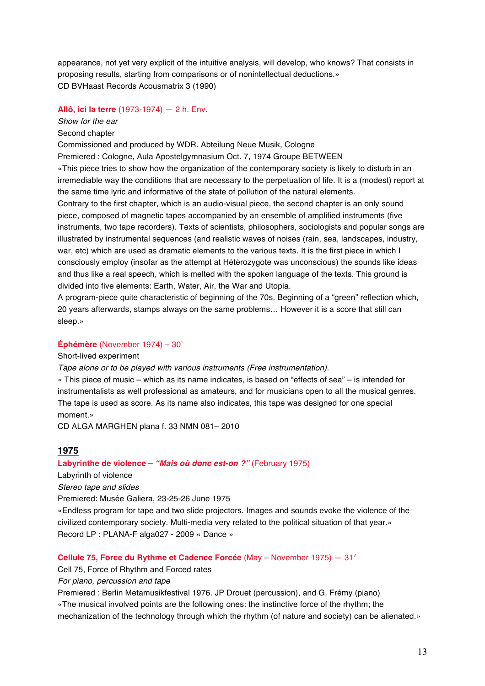appearance, not yet very explicit of the intuitive analysis, will develop, who knows? That consists in proposing results, starting from comparisons or of nonintellectual deductions.» CD BVHaast Records Acousmatrix 3 (1990)

# **Allô, ici la terre** (1973-1974) — 2 h. Env.

*Show for the ear*

Second chapter

Commissioned and produced by WDR. Abteilung Neue Musik, Cologne

Premiered : Cologne, Aula Apostelgymnasium Oct. 7, 1974 Groupe BETWEEN

«This piece tries to show how the organization of the contemporary society is likely to disturb in an irremediable way the conditions that are necessary to the perpetuation of life. It is a (modest) report at the same time lyric and informative of the state of pollution of the natural elements.

Contrary to the first chapter, which is an audio-visual piece, the second chapter is an only sound piece, composed of magnetic tapes accompanied by an ensemble of amplified instruments (five instruments, two tape recorders). Texts of scientists, philosophers, sociologists and popular songs are illustrated by instrumental sequences (and realistic waves of noises (rain, sea, landscapes, industry, war, etc) which are used as dramatic elements to the various texts. It is the first piece in which I consciously employ (insofar as the attempt at Hétérozygote was unconscious) the sounds like ideas and thus like a real speech, which is melted with the spoken language of the texts. This ground is divided into five elements: Earth, Water, Air, the War and Utopia.

A program-piece quite characteristic of beginning of the 70s. Beginning of a "green" reflection which, 20 years afterwards, stamps always on the same problems… However it is a score that still can sleep.»

# **Éphémère** (November 1974) – 30'

# Short-lived experiment

*Tape alone or to be played with various instruments (Free instrumentation).*

« This piece of music – which as its name indicates, is based on "effects of sea" – is intended for instrumentalists as well professional as amateurs, and for musicians open to all the musical genres. The tape is used as score. As its name also indicates, this tape was designed for one special moment.»

CD ALGA MARGHEN plana f. 33 NMN 081– 2010

# **1975**

# **Labyrinthe de violence –** *"Mais où donc est-on ?"* (February 1975)

Labyrinth of violence

*Stereo tape and slides*

Premiered: Musée Galiera, 23-25-26 June 1975

«Endless program for tape and two slide projectors. Images and sounds evoke the violence of the civilized contemporary society. Multi-media very related to the political situation of that year.» Record LP : PLANA-F alga027 - 2009 « Dance »

# **Cellule 75, Force du Rythme et Cadence Forcée** (May – November 1975) — 31′

Cell 75, Force of Rhythm and Forced rates

*For piano, percussion and tape*

Premiered : Berlin Metamusikfestival 1976. JP Drouet (percussion), and G. Frémy (piano) «The musical involved points are the following ones: the instinctive force of the rhythm; the mechanization of the technology through which the rhythm (of nature and society) can be alienated.»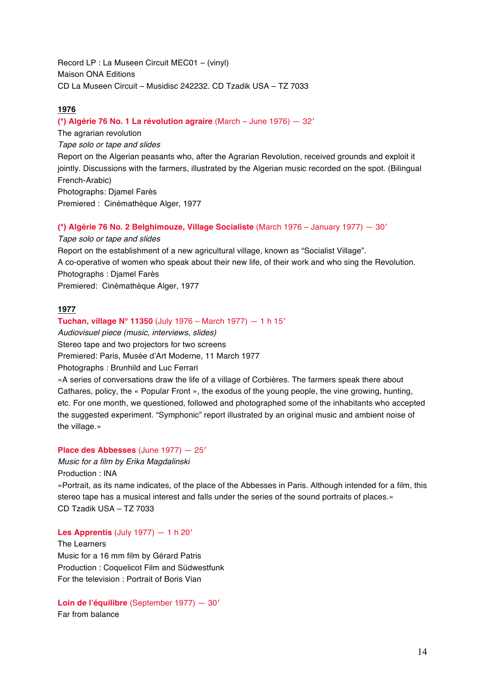Record LP : La Museen Circuit MEC01 – (vinyl) Maison ONA Editions CD La Museen Circuit – Musidisc 242232. CD Tzadik USA – TZ 7033

# **1976**

# **(\*) Algérie 76 No. 1 La révolution agraire** (March – June 1976) — 32′

The agrarian revolution *Tape solo or tape and slides* Report on the Algerian peasants who, after the Agrarian Revolution, received grounds and exploit it jointly. Discussions with the farmers, illustrated by the Algerian music recorded on the spot. (Bilingual French-Arabic) Photographs: Djamel Farès Premiered : Cinémathèque Alger, 1977

# **(\*) Algérie 76 No. 2 Belghimouze, Village Socialiste** (March 1976 – January 1977) — 30′

*Tape solo or tape and slides* Report on the establishment of a new agricultural village, known as "Socialist Village". A co-operative of women who speak about their new life, of their work and who sing the Revolution. Photographs : Djamel Farès Premiered: Cinémathèque Alger, 1977

# **1977**

# **Tuchan, village N° 11350** (July 1976 – March 1977) — 1 h 15′

*Audiovisuel piece (music, interviews, slides)* Stereo tape and two projectors for two screens Premiered: Paris, Musée d'Art Moderne, 11 March 1977 Photographs : Brunhild and Luc Ferrari «A series of conversations draw the life of a village of Corbières. The farmers speak there about

Cathares, policy, the « Popular Front », the exodus of the young people, the vine growing, hunting, etc. For one month, we questioned, followed and photographed some of the inhabitants who accepted the suggested experiment. "Symphonic" report illustrated by an original music and ambient noise of the village.»

#### **Place des Abbesses** (June 1977) — 25′

*Music for a film by Erika Magdalinski* Production : INA «Portrait, as its name indicates, of the place of the Abbesses in Paris. Although intended for a film, this stereo tape has a musical interest and falls under the series of the sound portraits of places.» CD Tzadik USA – TZ 7033

#### **Les Apprentis** (July 1977) — 1 h 20′

The Learners Music for a 16 mm film by Gérard Patris Production : Coquelicot Film and Südwestfunk For the television : Portrait of Boris Vian

**Loin de l'équilibre** (September 1977) — 30′ Far from balance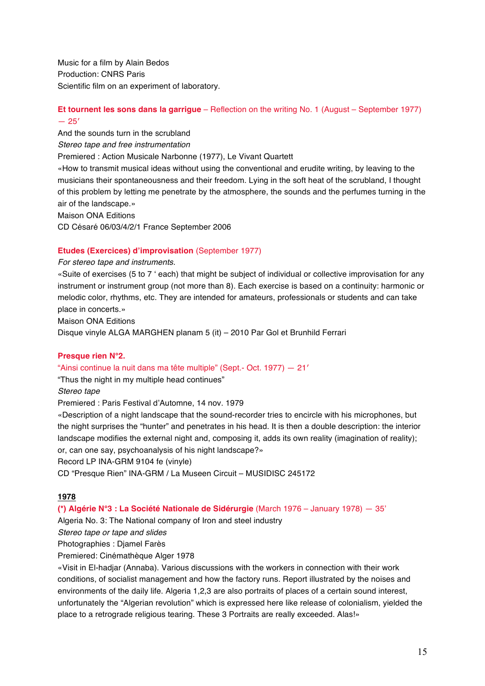Music for a film by Alain Bedos Production: CNRS Paris Scientific film on an experiment of laboratory.

# **Et tournent les sons dans la garrigue** – Reflection on the writing No. 1 (August – September 1977)  $-25'$

And the sounds turn in the scrubland *Stereo tape and free instrumentation* Premiered : Action Musicale Narbonne (1977), Le Vivant Quartett «How to transmit musical ideas without using the conventional and erudite writing, by leaving to the musicians their spontaneousness and their freedom. Lying in the soft heat of the scrubland, I thought of this problem by letting me penetrate by the atmosphere, the sounds and the perfumes turning in the air of the landscape.» Maison ONA Editions CD Césaré 06/03/4/2/1 France September 2006

# **Etudes (Exercices) d'improvisation** (September 1977)

# *For stereo tape and instruments.*

«Suite of exercises (5 to 7 ' each) that might be subject of individual or collective improvisation for any instrument or instrument group (not more than 8). Each exercise is based on a continuity: harmonic or melodic color, rhythms, etc. They are intended for amateurs, professionals or students and can take place in concerts.»

Maison ONA Editions

Disque vinyle ALGA MARGHEN planam 5 (it) – 2010 Par Gol et Brunhild Ferrari

# **Presque rien N°2.**

"Ainsi continue la nuit dans ma tête multiple" (Sept.- Oct. 1977) — 21′

"Thus the night in my multiple head continues"

*Stereo tape*

Premiered : Paris Festival d'Automne, 14 nov. 1979

«Description of a night landscape that the sound-recorder tries to encircle with his microphones, but the night surprises the "hunter" and penetrates in his head. It is then a double description: the interior landscape modifies the external night and, composing it, adds its own reality (imagination of reality); or, can one say, psychoanalysis of his night landscape?»

Record LP INA-GRM 9104 fe (vinyle)

CD "Presque Rien" INA-GRM / La Museen Circuit – MUSIDISC 245172

# **1978**

# **(\*) Algérie N°3 : La Société Nationale de Sidérurgie** (March 1976 – January 1978) — 35'

Algeria No. 3: The National company of Iron and steel industry

*Stereo tape or tape and slides*

Photographies : Djamel Farès

Premiered: Cinémathèque Alger 1978

«Visit in El-hadjar (Annaba). Various discussions with the workers in connection with their work conditions, of socialist management and how the factory runs. Report illustrated by the noises and environments of the daily life. Algeria 1,2,3 are also portraits of places of a certain sound interest, unfortunately the "Algerian revolution" which is expressed here like release of colonialism, yielded the place to a retrograde religious tearing. These 3 Portraits are really exceeded. Alas!»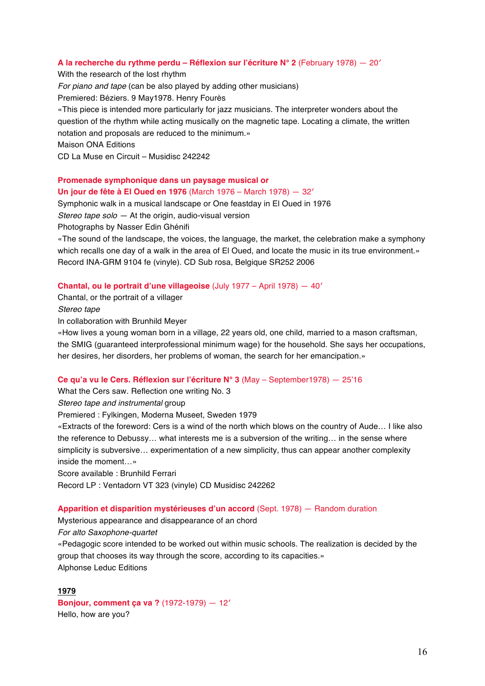# **A la recherche du rythme perdu – Réflexion sur l'écriture N° 2** (February 1978) — 20′

With the research of the lost rhythm *For piano and tape* (can be also played by adding other musicians) Premiered: Béziers. 9 May1978. Henry Fourès «This piece is intended more particularly for jazz musicians. The interpreter wonders about the question of the rhythm while acting musically on the magnetic tape. Locating a climate, the written notation and proposals are reduced to the minimum.» Maison ONA Editions CD La Muse en Circuit – Musidisc 242242

# **Promenade symphonique dans un paysage musical or Un jour de fête à El Oued en 1976** (March 1976 – March 1978) — 32′

Symphonic walk in a musical landscape or One feastday in El Oued in 1976 *Stereo tape solo —* At the origin, audio-visual version Photographs by Nasser Edin Ghénifi

«The sound of the landscape, the voices, the language, the market, the celebration make a symphony which recalls one day of a walk in the area of El Oued, and locate the music in its true environment.» Record INA-GRM 9104 fe (vinyle). CD Sub rosa, Belgique SR252 2006

### **Chantal, ou le portrait d'une villageoise** (July 1977 – April 1978) — 40′

Chantal, or the portrait of a villager

*Stereo tape*

In collaboration with Brunhild Meyer

«How lives a young woman born in a village, 22 years old, one child, married to a mason craftsman, the SMIG (guaranteed interprofessional minimum wage) for the household. She says her occupations, her desires, her disorders, her problems of woman, the search for her emancipation.»

# **Ce qu'a vu le Cers. Réflexion sur l'écriture N° 3** (May – September1978) — 25'16

What the Cers saw. Reflection one writing No. 3

*Stereo tape and instrumental* group

Premiered : Fylkingen, Moderna Museet, Sweden 1979

«Extracts of the foreword: Cers is a wind of the north which blows on the country of Aude… I like also the reference to Debussy… what interests me is a subversion of the writing… in the sense where simplicity is subversive… experimentation of a new simplicity, thus can appear another complexity inside the moment…»

Score available : Brunhild Ferrari

Record LP : Ventadorn VT 323 (vinyle) CD Musidisc 242262

# **Apparition et disparition mystérieuses d'un accord** (Sept. 1978) — Random duration

Mysterious appearance and disappearance of an chord

*For alto Saxophone-quartet*

«Pedagogic score intended to be worked out within music schools. The realization is decided by the group that chooses its way through the score, according to its capacities.» Alphonse Leduc Editions

# **1979**

**Bonjour, comment ça va ?** (1972-1979) — 12′ Hello, how are you?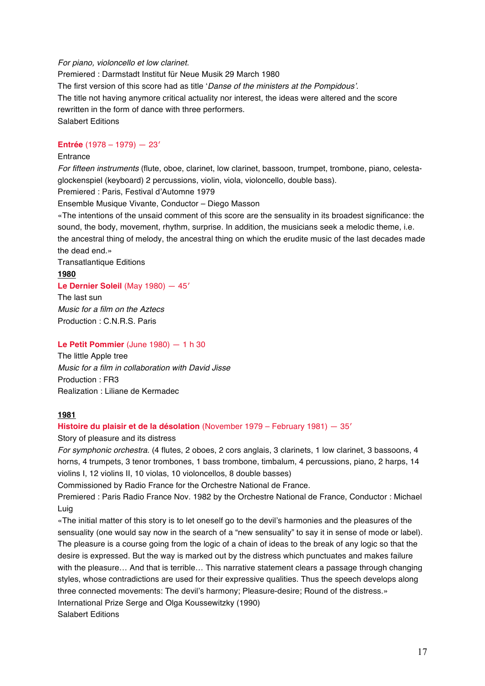#### *For piano, violoncello et low clarinet.*

Premiered : Darmstadt Institut für Neue Musik 29 March 1980 The first version of this score had as title '*Danse of the ministers at the Pompidous'*. The title not having anymore critical actuality nor interest, the ideas were altered and the score rewritten in the form of dance with three performers. Salabert Editions

# **Entrée** (1978 – 1979) — 23′

### Entrance

*For fifteen instruments* (flute, oboe, clarinet, low clarinet, bassoon, trumpet, trombone, piano, celestaglockenspiel (keyboard) 2 percussions, violin, viola, violoncello, double bass).

Premiered : Paris, Festival d'Automne 1979

Ensemble Musique Vivante, Conductor – Diego Masson

«The intentions of the unsaid comment of this score are the sensuality in its broadest significance: the sound, the body, movement, rhythm, surprise. In addition, the musicians seek a melodic theme, i.e. the ancestral thing of melody, the ancestral thing on which the erudite music of the last decades made the dead end.»

Transatlantique Editions

**1980**

# **Le Dernier Soleil** (May 1980) — 45′

The last sun *Music for a film on the Aztecs* Production : C.N.R.S. Paris

# **Le Petit Pommier** (June 1980) — 1 h 30

The little Apple tree *Music for a film in collaboration with David Jisse* Production : FR3 Realization : Liliane de Kermadec

# **1981**

# **Histoire du plaisir et de la désolation** (November 1979 – February 1981) — 35′

# Story of pleasure and its distress

*For symphonic orchestra*. (4 flutes, 2 oboes, 2 cors anglais, 3 clarinets, 1 low clarinet, 3 bassoons, 4 horns, 4 trumpets, 3 tenor trombones, 1 bass trombone, timbalum, 4 percussions, piano, 2 harps, 14 violins I, 12 violins II, 10 violas, 10 violoncellos, 8 double basses)

Commissioned by Radio France for the Orchestre National de France.

Premiered : Paris Radio France Nov. 1982 by the Orchestre National de France, Conductor : Michael Luig

«The initial matter of this story is to let oneself go to the devil's harmonies and the pleasures of the sensuality (one would say now in the search of a "new sensuality" to say it in sense of mode or label). The pleasure is a course going from the logic of a chain of ideas to the break of any logic so that the desire is expressed. But the way is marked out by the distress which punctuates and makes failure with the pleasure… And that is terrible… This narrative statement clears a passage through changing styles, whose contradictions are used for their expressive qualities. Thus the speech develops along three connected movements: The devil's harmony; Pleasure-desire; Round of the distress.» International Prize Serge and Olga Koussewitzky (1990) Salabert Editions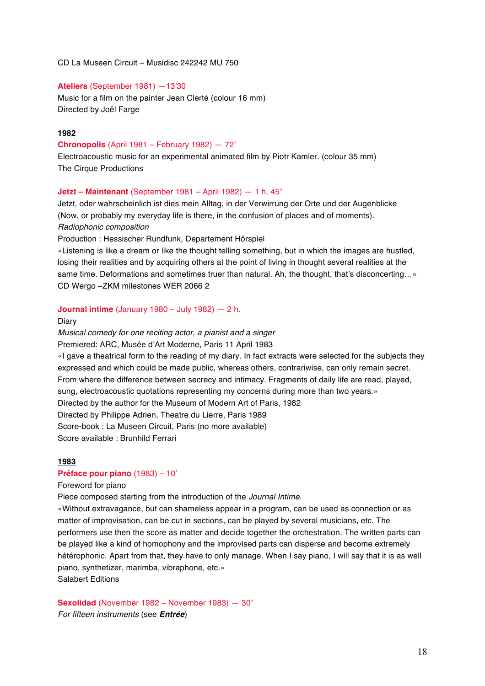CD La Museen Circuit – Musidisc 242242 MU 750

#### **Ateliers** (September 1981) —13'30

Music for a film on the painter Jean Clerté (colour 16 mm) Directed by Joël Farge

#### **1982**

#### **Chronopolis** (April 1981 – February 1982) — 72'

Electroacoustic music for an experimental animated film by Piotr Kamler. (colour 35 mm) The Cirque Productions

#### **Jetzt – Maintenant** (September 1981 – April 1982) — 1 h. 45′

Jetzt, oder wahrscheinlich ist dies mein Alltag, in der Verwirrung der Orte und der Augenblicke (Now, or probably my everyday life is there, in the confusion of places and of moments). *Radiophonic composition*

Production : Hessischer Rundfunk, Departement Hörspiel

«Listening is like a dream or like the thought telling something, but in which the images are hustled, losing their realities and by acquiring others at the point of living in thought several realities at the same time. Deformations and sometimes truer than natural. Ah, the thought, that's disconcerting...» CD Wergo –ZKM milestones WER 2066 2

#### **Journal intime** (January 1980 – July 1982) — 2 h.

Diary

*Musical comedy for one reciting actor, a pianist and a singer* Premiered: ARC, Musée d'Art Moderne, Paris 11 April 1983 «I gave a theatrical form to the reading of my diary. In fact extracts were selected for the subjects they expressed and which could be made public, whereas others, contrariwise, can only remain secret. From where the difference between secrecy and intimacy. Fragments of daily life are read, played, sung, electroacoustic quotations representing my concerns during more than two years.» Directed by the author for the Museum of Modern Art of Paris, 1982 Directed by Philippe Adrien, Theatre du Lierre, Paris 1989 Score-book : La Museen Circuit, Paris (no more available) Score available : Brunhild Ferrari

### **1983**

#### **Préface pour piano** (1983) – 10'

#### Foreword for piano

Piece composed starting from the introduction of the *Journal Intime*.

«Without extravagance, but can shameless appear in a program, can be used as connection or as matter of improvisation, can be cut in sections, can be played by several musicians, etc. The performers use then the score as matter and decide together the orchestration. The written parts can be played like a kind of homophony and the improvised parts can disperse and become extremely hétérophonic. Apart from that, they have to only manage. When I say piano, I will say that it is as well piano, synthetizer, marimba, vibraphone, etc.» Salabert Editions

**Sexolidad** (November 1982 – November 1983) — 30′ *For fifteen instruments* (see *Entrée*)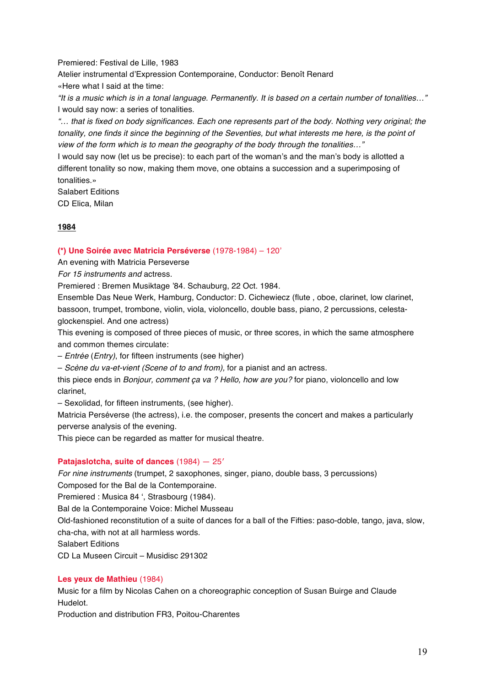Premiered: Festival de Lille, 1983 Atelier instrumental d'Expression Contemporaine, Conductor: Benoît Renard «Here what I said at the time:

*"It is a music which is in a tonal language. Permanently. It is based on a certain number of tonalities…"* I would say now: a series of tonalities.

*"… that is fixed on body significances. Each one represents part of the body. Nothing very original; the tonality, one finds it since the beginning of the Seventies, but what interests me here, is the point of view of the form which is to mean the geography of the body through the tonalities…"*

I would say now (let us be precise): to each part of the woman's and the man's body is allotted a different tonality so now, making them move, one obtains a succession and a superimposing of tonalities.»

Salabert Editions CD Elica, Milan

# **1984**

# **(\*) Une Soirée avec Matricia Perséverse** (1978-1984) – 120'

An evening with Matricia Perseverse

*For 15 instruments and* actress*.*

Premiered : Bremen Musiktage '84. Schauburg, 22 Oct. 1984.

Ensemble Das Neue Werk, Hamburg, Conductor: D. Cichewiecz (flute , oboe, clarinet, low clarinet, bassoon, trumpet, trombone, violin, viola, violoncello, double bass, piano, 2 percussions, celestaglockenspiel. And one actress)

This evening is composed of three pieces of music, or three scores, in which the same atmosphere and common themes circulate:

– *Entrée* (*Entry)*, for fifteen instruments (see higher)

– *Scène du va-et-vient (Scene of to and from),* for a pianist and an actress.

this piece ends in *Bonjour, comment ça va ? Hello, how are you?* for piano, violoncello and low clarinet,

– Sexolidad, for fifteen instruments, (see higher).

Matricia Perséverse (the actress), i.e. the composer, presents the concert and makes a particularly perverse analysis of the evening.

This piece can be regarded as matter for musical theatre.

# **Patajaslotcha, suite of dances** (1984) — 25′

*For nine instruments* (trumpet, 2 saxophones, singer, piano, double bass, 3 percussions)

Composed for the Bal de la Contemporaine.

Premiered : Musica 84 ', Strasbourg (1984).

Bal de la Contemporaine Voice: Michel Musseau

Old-fashioned reconstitution of a suite of dances for a ball of the Fifties: paso-doble, tango, java, slow, cha-cha, with not at all harmless words.

Salabert Editions

CD La Museen Circuit – Musidisc 291302

# **Les yeux de Mathieu** (1984)

Music for a film by Nicolas Cahen on a choreographic conception of Susan Buirge and Claude Hudelot.

Production and distribution FR3, Poitou-Charentes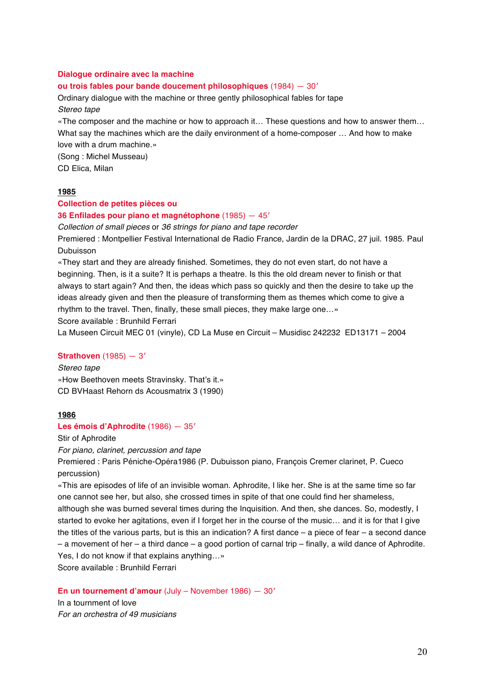#### **Dialogue ordinaire avec la machine**

#### **ou trois fables pour bande doucement philosophiques** (1984) — 30′

Ordinary dialogue with the machine or three gently philosophical fables for tape *Stereo tape*

«The composer and the machine or how to approach it… These questions and how to answer them… What say the machines which are the daily environment of a home-composer … And how to make love with a drum machine.» (Song : Michel Musseau)

CD Elica, Milan

### **1985**

### **Collection de petites pièces ou**

### **36 Enfilades pour piano et magnétophone** (1985) — 45′

*Collection of small pieces* or *36 strings for piano and tape recorder*

Premiered : Montpellier Festival International de Radio France, Jardin de la DRAC, 27 juil. 1985. Paul Dubuisson

«They start and they are already finished. Sometimes, they do not even start, do not have a beginning. Then, is it a suite? It is perhaps a theatre. Is this the old dream never to finish or that always to start again? And then, the ideas which pass so quickly and then the desire to take up the ideas already given and then the pleasure of transforming them as themes which come to give a rhythm to the travel. Then, finally, these small pieces, they make large one…»

Score available : Brunhild Ferrari

La Museen Circuit MEC 01 (vinyle), CD La Muse en Circuit – Musidisc 242232 ED13171 – 2004

# **Strathoven** (1985) — 3′

*Stereo tape* «How Beethoven meets Stravinsky. That's it.» CD BVHaast Rehorn ds Acousmatrix 3 (1990)

# **1986**

#### **Les émois d'Aphrodite** (1986) — 35′

Stir of Aphrodite

*For piano, clarinet, percussion and tape*

Premiered : Paris Péniche-Opéra1986 (P. Dubuisson piano, François Cremer clarinet, P. Cueco percussion)

«This are episodes of life of an invisible woman. Aphrodite, I like her. She is at the same time so far one cannot see her, but also, she crossed times in spite of that one could find her shameless, although she was burned several times during the Inquisition. And then, she dances. So, modestly, I

started to evoke her agitations, even if I forget her in the course of the music… and it is for that I give the titles of the various parts, but is this an indication? A first dance – a piece of fear – a second dance – a movement of her – a third dance – a good portion of carnal trip – finally, a wild dance of Aphrodite. Yes, I do not know if that explains anything…»

Score available : Brunhild Ferrari

**En un tournement d'amour** (July – November 1986) — 30′

In a tournment of love *For an orchestra of 49 musicians*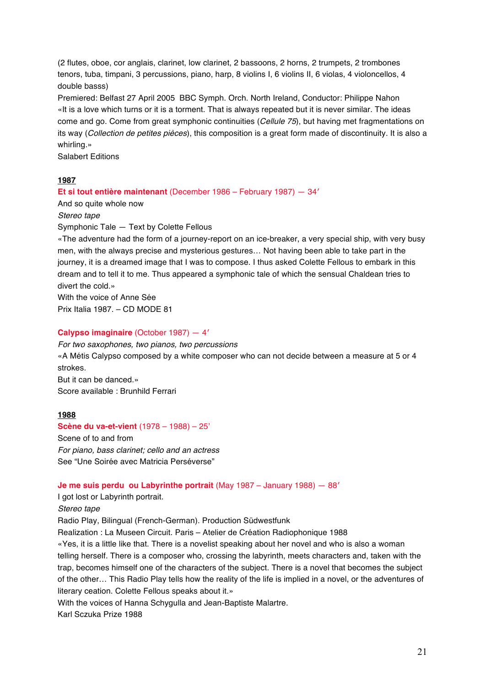(2 flutes, oboe, cor anglais, clarinet, low clarinet, 2 bassoons, 2 horns, 2 trumpets, 2 trombones tenors, tuba, timpani, 3 percussions, piano, harp, 8 violins I, 6 violins II, 6 violas, 4 violoncellos, 4 double basss)

Premiered: Belfast 27 April 2005 BBC Symph. Orch. North Ireland, Conductor: Philippe Nahon «It is a love which turns or it is a torment. That is always repeated but it is never similar. The ideas come and go. Come from great symphonic continuities (*Cellule 75*), but having met fragmentations on its way (*Collection de petites pièces*), this composition is a great form made of discontinuity. It is also a whirling.»

Salabert Editions

# **1987**

# **Et si tout entière maintenant** (December 1986 – February 1987) — 34′

And so quite whole now

*Stereo tape*

Symphonic Tale — Text by Colette Fellous

«The adventure had the form of a journey-report on an ice-breaker, a very special ship, with very busy men, with the always precise and mysterious gestures… Not having been able to take part in the journey, it is a dreamed image that I was to compose. I thus asked Colette Fellous to embark in this dream and to tell it to me. Thus appeared a symphonic tale of which the sensual Chaldean tries to divert the cold.»

With the voice of Anne Sée Prix Italia 1987. – CD MODE 81

# **Calypso imaginaire** (October 1987) — 4′

*For two saxophones, two pianos, two percussions* «A Métis Calypso composed by a white composer who can not decide between a measure at 5 or 4 strokes. But it can be danced.» Score available : Brunhild Ferrari

# **1988**

# **Scène du va-et-vient** (1978 – 1988) – 25'

Scene of to and from *For piano, bass clarinet; cello and an actress* See "Une Soirée avec Matricia Perséverse"

# **Je me suis perdu ou Labyrinthe portrait** (May 1987 – January 1988) — 88′

I got lost or Labyrinth portrait.

*Stereo tape* Radio Play, Bilingual (French-German). Production Südwestfunk Realization : La Museen Circuit. Paris – Atelier de Création Radiophonique 1988 «Yes, it is a little like that. There is a novelist speaking about her novel and who is also a woman telling herself. There is a composer who, crossing the labyrinth, meets characters and, taken with the trap, becomes himself one of the characters of the subject. There is a novel that becomes the subject of the other… This Radio Play tells how the reality of the life is implied in a novel, or the adventures of literary ceation. Colette Fellous speaks about it.» With the voices of Hanna Schygulla and Jean-Baptiste Malartre. Karl Sczuka Prize 1988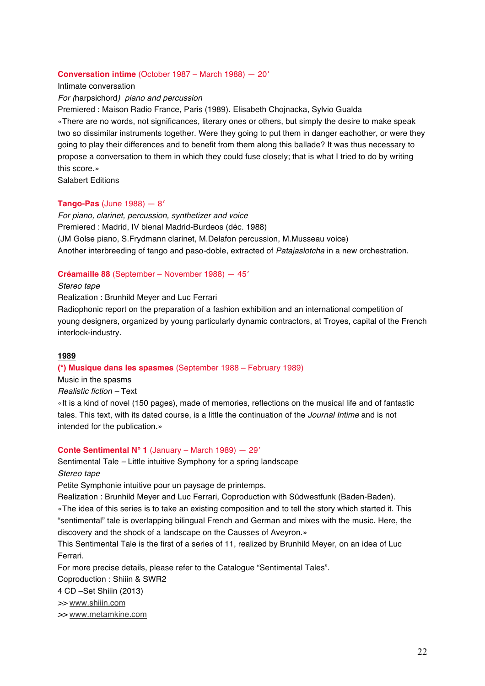### **Conversation intime** (October 1987 – March 1988) — 20′

Intimate conversation

*For (*harpsichord*) piano and percussion*

Premiered : Maison Radio France, Paris (1989). Elisabeth Chojnacka, Sylvio Gualda «There are no words, not significances, literary ones or others, but simply the desire to make speak two so dissimilar instruments together. Were they going to put them in danger eachother, or were they going to play their differences and to benefit from them along this ballade? It was thus necessary to propose a conversation to them in which they could fuse closely; that is what I tried to do by writing this score.»

Salabert Editions

### **Tango-Pas** (June 1988) — 8′

*For piano, clarinet, percussion, synthetizer and voice* Premiered : Madrid, IV bienal Madrid-Burdeos (déc. 1988) (JM Golse piano, S.Frydmann clarinet, M.Delafon percussion, M.Musseau voice) Another interbreeding of tango and paso-doble, extracted of *Patajaslotcha* in a new orchestration.

### **Créamaille 88** (September – November 1988) — 45′

*Stereo tape*

Realization : Brunhild Meyer and Luc Ferrari

Radiophonic report on the preparation of a fashion exhibition and an international competition of young designers, organized by young particularly dynamic contractors, at Troyes, capital of the French interlock-industry.

#### **1989**

# **(\*) Musique dans les spasmes** (September 1988 – February 1989)

Music in the spasms

*Realistic fiction –* Text

«It is a kind of novel (150 pages), made of memories, reflections on the musical life and of fantastic tales. This text, with its dated course, is a little the continuation of the *Journal Intime* and is not intended for the publication.»

#### **Conte Sentimental N° 1** (January – March 1989) — 29′

Sentimental Tale *–* Little intuitive Symphony for a spring landscape *Stereo tape*

Petite Symphonie intuitive pour un paysage de printemps.

Realization : Brunhild Meyer and Luc Ferrari, Coproduction with Südwestfunk (Baden-Baden).

«The idea of this series is to take an existing composition and to tell the story which started it. This "sentimental" tale is overlapping bilingual French and German and mixes with the music. Here, the discovery and the shock of a landscape on the Causses of Aveyron.»

This Sentimental Tale is the first of a series of 11, realized by Brunhild Meyer, on an idea of Luc Ferrari.

For more precise details, please refer to the Catalogue "Sentimental Tales".

Coproduction : Shiiin & SWR2

4 CD –Set Shiiin (2013)

*>>* www.shiiin.com

*>>* www.metamkine.com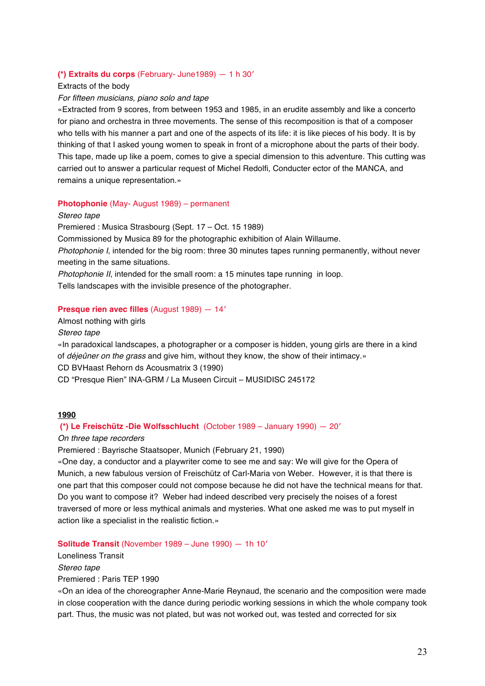### **(\*) Extraits du corps** (February- June1989) — 1 h 30′

#### Extracts of the body

#### *For fifteen musicians, piano solo and tape*

«Extracted from 9 scores, from between 1953 and 1985, in an erudite assembly and like a concerto for piano and orchestra in three movements. The sense of this recomposition is that of a composer who tells with his manner a part and one of the aspects of its life: it is like pieces of his body. It is by thinking of that I asked young women to speak in front of a microphone about the parts of their body. This tape, made up like a poem, comes to give a special dimension to this adventure. This cutting was carried out to answer a particular request of Michel Redolfi, Conducter ector of the MANCA, and remains a unique representation.»

#### **Photophonie** (May- August 1989) – permanent

#### *Stereo tape*

Premiered : Musica Strasbourg (Sept. 17 – Oct. 15 1989)

Commissioned by Musica 89 for the photographic exhibition of Alain Willaume.

*Photophonie I*, intended for the big room: three 30 minutes tapes running permanently, without never meeting in the same situations.

*Photophonie II*, intended for the small room: a 15 minutes tape running in loop.

Tells landscapes with the invisible presence of the photographer.

#### **Presque rien avec filles** (August 1989) — 14′

Almost nothing with girls

*Stereo tape*

«In paradoxical landscapes, a photographer or a composer is hidden, young girls are there in a kind of *déjeûner on the grass* and give him, without they know, the show of their intimacy.»

CD BVHaast Rehorn ds Acousmatrix 3 (1990)

CD "Presque Rien" INA-GRM / La Museen Circuit – MUSIDISC 245172

#### **1990**

#### **(\*) Le Freischütz -Die Wolfsschlucht** (October 1989 – January 1990) — 20′

#### *On three tape recorders*

Premiered : Bayrische Staatsoper, Munich (February 21, 1990)

«One day, a conductor and a playwriter come to see me and say: We will give for the Opera of Munich, a new fabulous version of Freischütz of Carl-Maria von Weber. However, it is that there is one part that this composer could not compose because he did not have the technical means for that. Do you want to compose it? Weber had indeed described very precisely the noises of a forest traversed of more or less mythical animals and mysteries. What one asked me was to put myself in action like a specialist in the realistic fiction.»

#### **Solitude Transit** (November 1989 – June 1990) — 1h 10′

Loneliness Transit *Stereo tape* Premiered : Paris TEP 1990

«On an idea of the choreographer Anne-Marie Reynaud, the scenario and the composition were made in close cooperation with the dance during periodic working sessions in which the whole company took part. Thus, the music was not plated, but was not worked out, was tested and corrected for six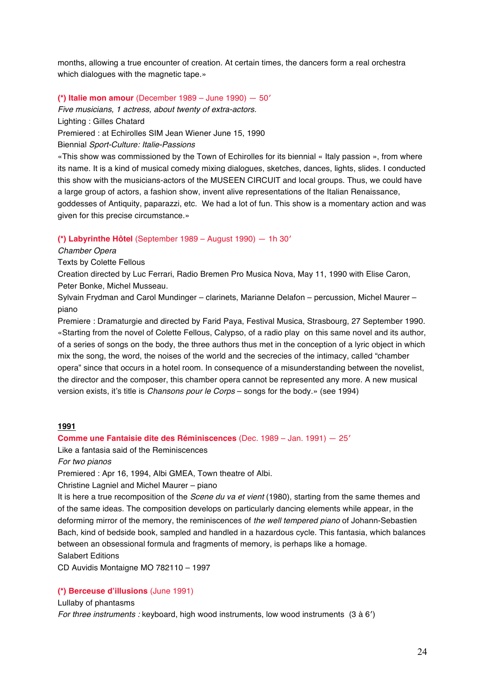months, allowing a true encounter of creation. At certain times, the dancers form a real orchestra which dialogues with the magnetic tape.»

### **(\*) Italie mon amour** (December 1989 – June 1990) — 50′

*Five musicians, 1 actress, about twenty of extra-actors.*

Lighting : Gilles Chatard

Premiered : at Echirolles SIM Jean Wiener June 15, 1990

Biennial *Sport-Culture: Italie-Passions*

«This show was commissioned by the Town of Echirolles for its biennial « Italy passion », from where its name. It is a kind of musical comedy mixing dialogues, sketches, dances, lights, slides. I conducted this show with the musicians-actors of the MUSEEN CIRCUIT and local groups. Thus, we could have a large group of actors, a fashion show, invent alive representations of the Italian Renaissance, goddesses of Antiquity, paparazzi, etc. We had a lot of fun. This show is a momentary action and was given for this precise circumstance.»

#### **(\*) Labyrinthe Hôtel** (September 1989 – August 1990) — 1h 30′

#### *Chamber Opera*

Texts by Colette Fellous

Creation directed by Luc Ferrari, Radio Bremen Pro Musica Nova, May 11, 1990 with Elise Caron, Peter Bonke, Michel Musseau.

Sylvain Frydman and Carol Mundinger – clarinets, Marianne Delafon – percussion, Michel Maurer – piano

Premiere : Dramaturgie and directed by Farid Paya, Festival Musica, Strasbourg, 27 September 1990. «Starting from the novel of Colette Fellous, Calypso, of a radio play on this same novel and its author, of a series of songs on the body, the three authors thus met in the conception of a lyric object in which mix the song, the word, the noises of the world and the secrecies of the intimacy, called "chamber opera" since that occurs in a hotel room. In consequence of a misunderstanding between the novelist, the director and the composer, this chamber opera cannot be represented any more. A new musical version exists, it's title is *Chansons pour le Corps* – songs for the body.» (see 1994)

# **1991**

#### **Comme une Fantaisie dite des Réminiscences** (Dec. 1989 – Jan. 1991) — 25′

Like a fantasia said of the Reminiscences

*For two pianos*

Premiered : Apr 16, 1994, Albi GMEA, Town theatre of Albi.

Christine Lagniel and Michel Maurer – piano

It is here a true recomposition of the *Scene du va et vient* (1980), starting from the same themes and of the same ideas. The composition develops on particularly dancing elements while appear, in the deforming mirror of the memory, the reminiscences of *the well tempered piano* of Johann-Sebastien Bach, kind of bedside book, sampled and handled in a hazardous cycle. This fantasia, which balances between an obsessional formula and fragments of memory, is perhaps like a homage.

Salabert Editions

CD Auvidis Montaigne MO 782110 – 1997

#### **(\*) Berceuse d'illusions** (June 1991)

#### Lullaby of phantasms

*For three instruments :* keyboard, high wood instruments, low wood instruments (3 à 6′)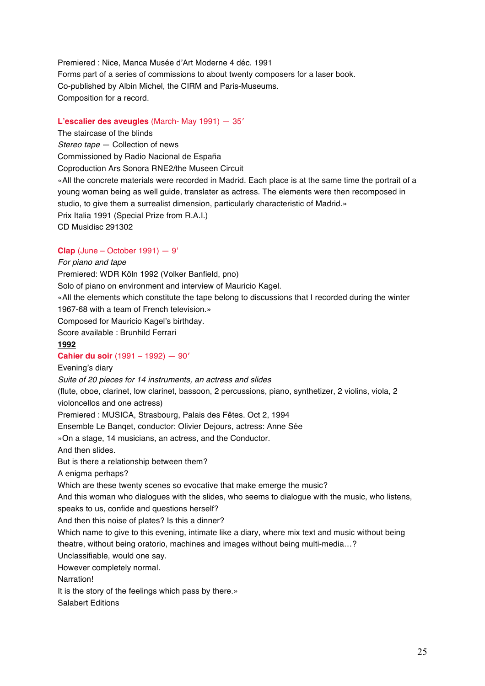Premiered : Nice, Manca Musée d'Art Moderne 4 déc. 1991 Forms part of a series of commissions to about twenty composers for a laser book. Co-published by Albin Michel, the CIRM and Paris-Museums. Composition for a record.

# **L'escalier des aveugles** (March- May 1991) — 35′

The staircase of the blinds *Stereo tape* — Collection of news Commissioned by Radio Nacional de España Coproduction Ars Sonora RNE2/the Museen Circuit «All the concrete materials were recorded in Madrid. Each place is at the same time the portrait of a young woman being as well guide, translater as actress. The elements were then recomposed in studio, to give them a surrealist dimension, particularly characteristic of Madrid.» Prix Italia 1991 (Special Prize from R.A.I.) CD Musidisc 291302

### **Clap** (June – October 1991) — 9'

#### *For piano and tape*

Premiered: WDR Köln 1992 (Volker Banfield, pno) Solo of piano on environment and interview of Mauricio Kagel. «All the elements which constitute the tape belong to discussions that I recorded during the winter 1967-68 with a team of French television.» Composed for Mauricio Kagel's birthday. Score available : Brunhild Ferrari **1992 Cahier du soir** (1991 – 1992) — 90′ Evening's diary

*Suite of 20 pieces for 14 instruments, an actress and slides*

(flute, oboe, clarinet, low clarinet, bassoon, 2 percussions, piano, synthetizer, 2 violins, viola, 2

violoncellos and one actress)

Premiered : MUSICA, Strasbourg, Palais des Fêtes. Oct 2, 1994

Ensemble Le Banqet, conductor: Olivier Dejours, actress: Anne Sée

»On a stage, 14 musicians, an actress, and the Conductor.

And then slides.

But is there a relationship between them?

A enigma perhaps?

Which are these twenty scenes so evocative that make emerge the music?

And this woman who dialogues with the slides, who seems to dialogue with the music, who listens,

speaks to us, confide and questions herself?

And then this noise of plates? Is this a dinner?

Which name to give to this evening, intimate like a diary, where mix text and music without being theatre, without being oratorio, machines and images without being multi-media…?

Unclassifiable, would one say.

However completely normal.

Narration!

It is the story of the feelings which pass by there.»

Salabert Editions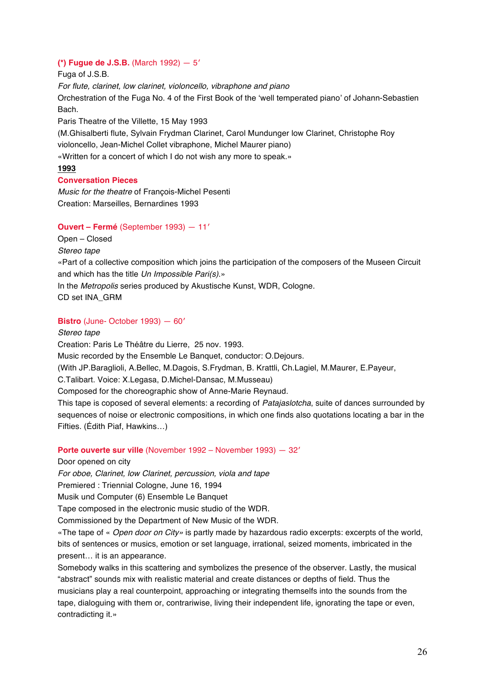# **(\*) Fugue de J.S.B.** (March 1992) — 5′

Fuga of J.S.B.

*For flute, clarinet, low clarinet, violoncello, vibraphone and piano* Orchestration of the Fuga No. 4 of the First Book of the 'well temperated piano' of Johann-Sebastien Bach.

Paris Theatre of the Villette, 15 May 1993

(M.Ghisalberti flute, Sylvain Frydman Clarinet, Carol Mundunger low Clarinet, Christophe Roy violoncello, Jean-Michel Collet vibraphone, Michel Maurer piano)

«Written for a concert of which I do not wish any more to speak.»

# **1993**

# **Conversation Pieces**

*Music for the theatre* of François-Michel Pesenti Creation: Marseilles, Bernardines 1993

# **Ouvert – Fermé** (September 1993) — 11′

Open – Closed *Stereo tape* «Part of a collective composition which joins the participation of the composers of the Museen Circuit and which has the title *Un Impossible Pari(s)*.» In the *Metropolis* series produced by Akustische Kunst, WDR, Cologne. CD set INA\_GRM

# **Bistro** (June- October 1993) — 60′

*Stereo tape* Creation: Paris Le Théâtre du Lierre, 25 nov. 1993. Music recorded by the Ensemble Le Banquet, conductor: O.Dejours. (With JP.Baraglioli, A.Bellec, M.Dagois, S.Frydman, B. Krattli, Ch.Lagiel, M.Maurer, E.Payeur, C.Talibart. Voice: X.Legasa, D.Michel-Dansac, M.Musseau) Composed for the choreographic show of Anne-Marie Reynaud. This tape is coposed of several elements: a recording of *Patajaslotcha*, suite of dances surrounded by sequences of noise or electronic compositions, in which one finds also quotations locating a bar in the Fifties. (Édith Piaf, Hawkins…)

**Porte ouverte sur ville** (November 1992 – November 1993) — 32′

Door opened on city

*For oboe, Clarinet, low Clarinet, percussion, viola and tape*

Premiered : Triennial Cologne, June 16, 1994

Musik und Computer (6) Ensemble Le Banquet

Tape composed in the electronic music studio of the WDR.

Commissioned by the Department of New Music of the WDR.

«The tape of « *Open door on City»* is partly made by hazardous radio excerpts: excerpts of the world, bits of sentences or musics, emotion or set language, irrational, seized moments, imbricated in the present… it is an appearance.

Somebody walks in this scattering and symbolizes the presence of the observer. Lastly, the musical "abstract" sounds mix with realistic material and create distances or depths of field. Thus the musicians play a real counterpoint, approaching or integrating themselfs into the sounds from the tape, dialoguing with them or, contrariwise, living their independent life, ignorating the tape or even, contradicting it.»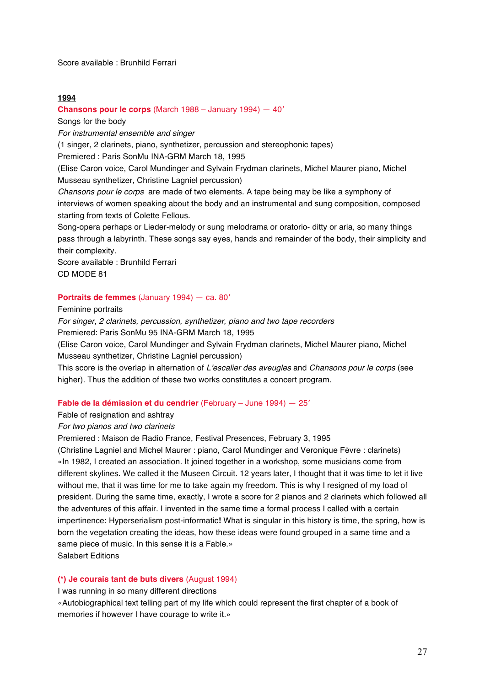Score available : Brunhild Ferrari

#### **1994**

#### **Chansons pour le corps** (March 1988 – January 1994) — 40′

Songs for the body

*For instrumental ensemble and singer*

(1 singer, 2 clarinets, piano, synthetizer, percussion and stereophonic tapes)

Premiered : Paris SonMu INA-GRM March 18, 1995

(Elise Caron voice, Carol Mundinger and Sylvain Frydman clarinets, Michel Maurer piano, Michel Musseau synthetizer, Christine Lagniel percussion)

*Chansons pour le corps* are made of two elements. A tape being may be like a symphony of interviews of women speaking about the body and an instrumental and sung composition, composed starting from texts of Colette Fellous.

Song-opera perhaps or Lieder-melody or sung melodrama or oratorio- ditty or aria, so many things pass through a labyrinth. These songs say eyes, hands and remainder of the body, their simplicity and their complexity.

Score available : Brunhild Ferrari CD MODE 81

#### **Portraits de femmes** (January 1994) — ca. 80′

Feminine portraits

*For singer, 2 clarinets, percussion, synthetizer, piano and two tape recorders* Premiered: Paris SonMu 95 INA-GRM March 18, 1995

(Elise Caron voice, Carol Mundinger and Sylvain Frydman clarinets, Michel Maurer piano, Michel Musseau synthetizer, Christine Lagniel percussion)

This score is the overlap in alternation of *L'escalier des aveugles* and *Chansons pour le corps* (see higher). Thus the addition of these two works constitutes a concert program.

### **Fable de la démission et du cendrier** (February – June 1994) — 25′

Fable of resignation and ashtray

*For two pianos and two clarinets*

Premiered : Maison de Radio France, Festival Presences, February 3, 1995

(Christine Lagniel and Michel Maurer : piano, Carol Mundinger and Veronique Fèvre : clarinets) «In 1982, I created an association. It joined together in a workshop, some musicians come from different skylines. We called it the Museen Circuit. 12 years later, I thought that it was time to let it live without me, that it was time for me to take again my freedom. This is why I resigned of my load of president. During the same time, exactly, I wrote a score for 2 pianos and 2 clarinets which followed all the adventures of this affair. I invented in the same time a formal process I called with a certain impertinence: Hyperserialism post-informatic**!** What is singular in this history is time, the spring, how is born the vegetation creating the ideas, how these ideas were found grouped in a same time and a same piece of music. In this sense it is a Fable.» Salabert Editions

# **(\*) Je courais tant de buts divers** (August 1994)

I was running in so many different directions

«Autobiographical text telling part of my life which could represent the first chapter of a book of memories if however I have courage to write it.»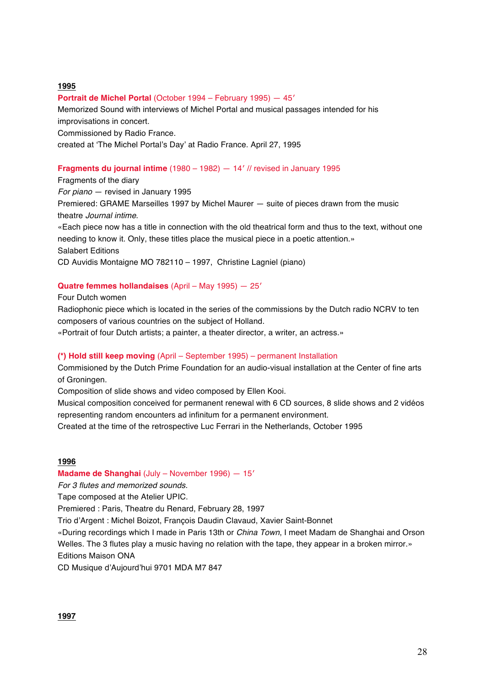# **1995**

# **Portrait de Michel Portal** (October 1994 – February 1995) — 45′

Memorized Sound with interviews of Michel Portal and musical passages intended for his improvisations in concert.

Commissioned by Radio France.

created at 'The Michel Portal's Day' at Radio France. April 27, 1995

# **Fragments du journal intime** (1980 – 1982) — 14′ // revised in January 1995

Fragments of the diary *For piano* — revised in January 1995 Premiered: GRAME Marseilles 1997 by Michel Maurer — suite of pieces drawn from the music theatre *Journal intime*. «Each piece now has a title in connection with the old theatrical form and thus to the text, without one needing to know it. Only, these titles place the musical piece in a poetic attention.» Salabert Editions CD Auvidis Montaigne MO 782110 – 1997, Christine Lagniel (piano)

# **Quatre femmes hollandaises** (April – May 1995) — 25′

Four Dutch women

Radiophonic piece which is located in the series of the commissions by the Dutch radio NCRV to ten composers of various countries on the subject of Holland.

«Portrait of four Dutch artists; a painter, a theater director, a writer, an actress.»

# **(\*) Hold still keep moving** (April – September 1995) – permanent Installation

Commisioned by the Dutch Prime Foundation for an audio-visual installation at the Center of fine arts of Groningen.

Composition of slide shows and video composed by Ellen Kooi.

Musical composition conceived for permanent renewal with 6 CD sources, 8 slide shows and 2 vidéos representing random encounters ad infinitum for a permanent environment.

Created at the time of the retrospective Luc Ferrari in the Netherlands, October 1995

# **1996**

# **Madame de Shanghai** (July – November 1996) — 15′

*For 3 flutes and memorized sounds.*

Tape composed at the Atelier UPIC.

Premiered : Paris, Theatre du Renard, February 28, 1997

Trio d'Argent : Michel Boizot, François Daudin Clavaud, Xavier Saint-Bonnet

«During recordings which I made in Paris 13th or *China Town*, I meet Madam de Shanghai and Orson Welles. The 3 flutes play a music having no relation with the tape, they appear in a broken mirror.» Editions Maison ONA

CD Musique d'Aujourd'hui 9701 MDA M7 847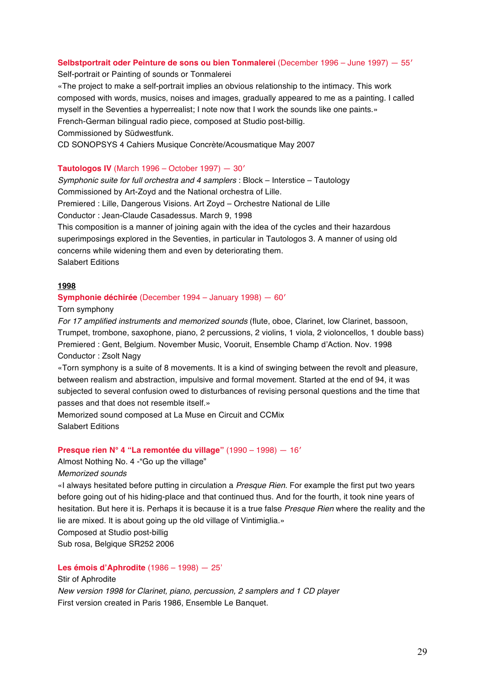### **Selbstportrait oder Peinture de sons ou bien Tonmalerei** (December 1996 – June 1997) — 55′

Self-portrait or Painting of sounds or Tonmalerei

«The project to make a self-portrait implies an obvious relationship to the intimacy. This work composed with words, musics, noises and images, gradually appeared to me as a painting. I called myself in the Seventies a hyperrealist; I note now that I work the sounds like one paints.» French-German bilingual radio piece, composed at Studio post-billig. Commissioned by Südwestfunk.

CD SONOPSYS 4 Cahiers Musique Concrète/Acousmatique May 2007

#### **Tautologos IV** (March 1996 – October 1997) — 30′

*Symphonic suite for full orchestra and 4 samplers* : Block – Interstice – Tautology Commissioned by Art-Zoyd and the National orchestra of Lille. Premiered : Lille, Dangerous Visions. Art Zoyd – Orchestre National de Lille Conductor : Jean-Claude Casadessus. March 9, 1998 This composition is a manner of joining again with the idea of the cycles and their hazardous superimposings explored in the Seventies, in particular in Tautologos 3. A manner of using old concerns while widening them and even by deteriorating them. Salabert Editions

#### **1998**

### **Symphonie déchirée** (December 1994 – January 1998) — 60′

Torn symphony

*For 17 amplified instruments and memorized sounds* (flute, oboe, Clarinet, low Clarinet, bassoon, Trumpet, trombone, saxophone, piano, 2 percussions, 2 violins, 1 viola, 2 violoncellos, 1 double bass) Premiered : Gent, Belgium. November Music, Vooruit, Ensemble Champ d'Action. Nov. 1998 Conductor : Zsolt Nagy

«Torn symphony is a suite of 8 movements. It is a kind of swinging between the revolt and pleasure, between realism and abstraction, impulsive and formal movement. Started at the end of 94, it was subjected to several confusion owed to disturbances of revising personal questions and the time that passes and that does not resemble itself.»

Memorized sound composed at La Muse en Circuit and CCMix Salabert Editions

### **Presque rien N° 4 "La remontée du village"** (1990 – 1998) — 16′

Almost Nothing No. 4 -"Go up the village"

*Memorized sounds*

«I always hesitated before putting in circulation a *Presque Rien*. For example the first put two years before going out of his hiding-place and that continued thus. And for the fourth, it took nine years of hesitation. But here it is. Perhaps it is because it is a true false *Presque Rien* where the reality and the lie are mixed. It is about going up the old village of Vintimiglia.» Composed at Studio post-billig

Sub rosa, Belgique SR252 2006

#### **Les émois d'Aphrodite** (1986 – 1998) — 25'

Stir of Aphrodite *New version 1998 for Clarinet, piano, percussion, 2 samplers and 1 CD player* First version created in Paris 1986, Ensemble Le Banquet.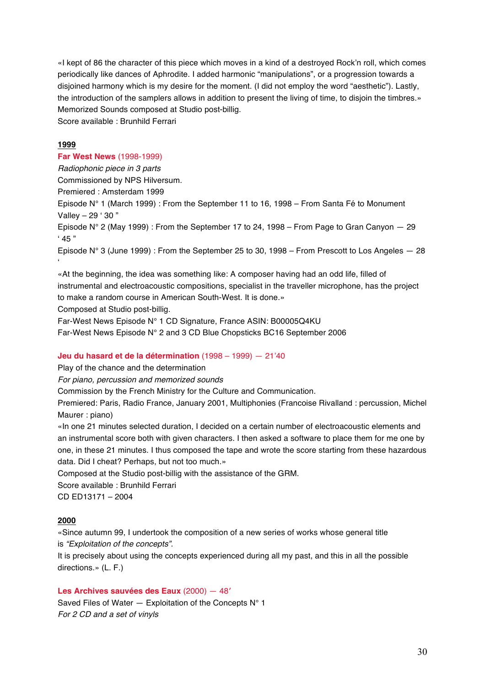«I kept of 86 the character of this piece which moves in a kind of a destroyed Rock'n roll, which comes periodically like dances of Aphrodite. I added harmonic "manipulations", or a progression towards a disjoined harmony which is my desire for the moment. (I did not employ the word "aesthetic"). Lastly, the introduction of the samplers allows in addition to present the living of time, to disjoin the timbres.» Memorized Sounds composed at Studio post-billig.

Score available : Brunhild Ferrari

# **1999**

# **Far West News** (1998-1999)

*Radiophonic piece in 3 parts*

Commissioned by NPS Hilversum.

Premiered : Amsterdam 1999

Episode N° 1 (March 1999) : From the September 11 to 16, 1998 – From Santa Fé to Monument Valley – 29 ' 30 "

Episode N° 2 (May 1999) : From the September 17 to 24, 1998 – From Page to Gran Canyon  $-29$ ' 45 "

Episode N° 3 (June 1999) : From the September 25 to 30, 1998 – From Prescott to Los Angeles  $-$  28 '

«At the beginning, the idea was something like: A composer having had an odd life, filled of instrumental and electroacoustic compositions, specialist in the traveller microphone, has the project to make a random course in American South-West. It is done.»

Composed at Studio post-billig.

Far-West News Episode N° 1 CD Signature, France ASIN: B00005Q4KU

Far-West News Episode N° 2 and 3 CD Blue Chopsticks BC16 September 2006

#### **Jeu du hasard et de la détermination** (1998 – 1999) — 21'40

Play of the chance and the determination

*For piano, percussion and memorized sounds*

Commission by the French Ministry for the Culture and Communication.

Premiered: Paris, Radio France, January 2001, Multiphonies (Francoise Rivalland : percussion, Michel Maurer : piano)

«In one 21 minutes selected duration, I decided on a certain number of electroacoustic elements and an instrumental score both with given characters. I then asked a software to place them for me one by one, in these 21 minutes. I thus composed the tape and wrote the score starting from these hazardous data. Did I cheat? Perhaps, but not too much.»

Composed at the Studio post-billig with the assistance of the GRM.

Score available : Brunhild Ferrari

CD ED13171 – 2004

### **2000**

«Since autumn 99, I undertook the composition of a new series of works whose general title is *"Exploitation of the concepts"*.

It is precisely about using the concepts experienced during all my past, and this in all the possible directions.» (L. F.)

#### **Les Archives sauvées des Eaux** (2000) — 48′

Saved Files of Water  $-$  Exploitation of the Concepts N° 1 *For 2 CD and a set of vinyls*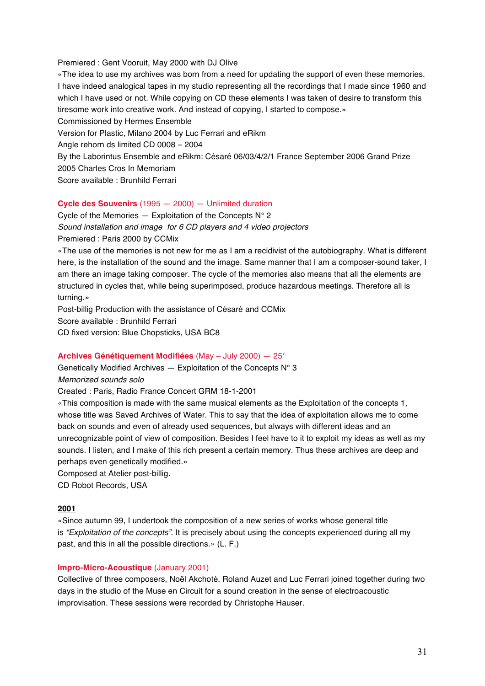Premiered : Gent Vooruit, May 2000 with DJ Olive

«The idea to use my archives was born from a need for updating the support of even these memories. I have indeed analogical tapes in my studio representing all the recordings that I made since 1960 and which I have used or not. While copying on CD these elements I was taken of desire to transform this tiresome work into creative work. And instead of copying, I started to compose.» Commissioned by Hermes Ensemble Version for Plastic, Milano 2004 by Luc Ferrari and eRikm

Angle rehorn ds limited CD 0008 – 2004

By the Laborintus Ensemble and eRikm: Césaré 06/03/4/2/1 France September 2006 Grand Prize

2005 Charles Cros In Memoriam

Score available : Brunhild Ferrari

# **Cycle des Souvenirs** (1995 — 2000) — Unlimited duration

Cycle of the Memories  $-$  Exploitation of the Concepts  $N^{\circ}$  2 *Sound installation and image for 6 CD players and 4 video projectors* Premiered : Paris 2000 by CCMix

«The use of the memories is not new for me as I am a recidivist of the autobiography. What is different here, is the installation of the sound and the image. Same manner that I am a composer-sound taker, I am there an image taking composer. The cycle of the memories also means that all the elements are structured in cycles that, while being superimposed, produce hazardous meetings. Therefore all is turning.»

Post-billig Production with the assistance of Césaré and CCMix Score available : Brunhild Ferrari CD fixed version: Blue Chopsticks, USA BC8

# **Archives Génétiquement Modifiées** (May – July 2000) — 25′

# Genetically Modified Archives  $-$  Exploitation of the Concepts  $N^{\circ}$  3

*Memorized sounds solo*

Created : Paris, Radio France Concert GRM 18-1-2001

«This composition is made with the same musical elements as the Exploitation of the concepts 1, whose title was Saved Archives of Water. This to say that the idea of exploitation allows me to come back on sounds and even of already used sequences, but always with different ideas and an unrecognizable point of view of composition. Besides I feel have to it to exploit my ideas as well as my sounds. I listen, and I make of this rich present a certain memory. Thus these archives are deep and perhaps even genetically modified.»

Composed at Atelier post-billig.

CD Robot Records, USA

# **2001**

«Since autumn 99, I undertook the composition of a new series of works whose general title is *"Exploitation of the concepts"*. It is precisely about using the concepts experienced during all my past, and this in all the possible directions.» (L. F.)

# **Impro-Micro-Acoustique** (January 2001)

Collective of three composers, Noël Akchoté, Roland Auzet and Luc Ferrari joined together during two days in the studio of the Muse en Circuit for a sound creation in the sense of electroacoustic improvisation. These sessions were recorded by Christophe Hauser.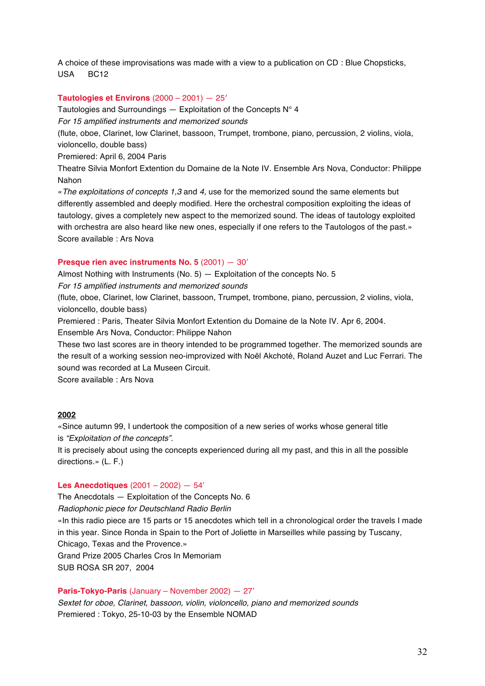A choice of these improvisations was made with a view to a publication on CD : Blue Chopsticks, USA BC12

# **Tautologies et Environs** (2000 – 2001) — 25′

Tautologies and Surroundings  $-$  Exploitation of the Concepts  $N^{\circ}$  4

*For 15 amplified instruments and memorized sounds*

(flute, oboe, Clarinet, low Clarinet, bassoon, Trumpet, trombone, piano, percussion, 2 violins, viola, violoncello, double bass)

Premiered: April 6, 2004 Paris

Theatre Silvia Monfort Extention du Domaine de la Note IV. Ensemble Ars Nova, Conductor: Philippe Nahon

«*The exploitations of concepts 1,3* and *4,* use for the memorized sound the same elements but differently assembled and deeply modified. Here the orchestral composition exploiting the ideas of tautology, gives a completely new aspect to the memorized sound. The ideas of tautology exploited with orchestra are also heard like new ones, especially if one refers to the Tautologos of the past.» Score available : Ars Nova

# **Presque rien avec instruments No. 5** (2001) — 30'

Almost Nothing with Instruments (No. 5) — Exploitation of the concepts No. 5

*For 15 amplified instruments and memorized sounds*

(flute, oboe, Clarinet, low Clarinet, bassoon, Trumpet, trombone, piano, percussion, 2 violins, viola, violoncello, double bass)

Premiered : Paris, Theater Silvia Monfort Extention du Domaine de la Note IV. Apr 6, 2004.

Ensemble Ars Nova, Conductor: Philippe Nahon

These two last scores are in theory intended to be programmed together. The memorized sounds are the result of a working session neo-improvized with Noël Akchoté, Roland Auzet and Luc Ferrari. The sound was recorded at La Museen Circuit.

Score available : Ars Nova

# **2002**

«Since autumn 99, I undertook the composition of a new series of works whose general title is *"Exploitation of the concepts"*.

It is precisely about using the concepts experienced during all my past, and this in all the possible directions.» (L. F.)

# **Les Anecdotiques** (2001 – 2002) — 54'

The Anecdotals — Exploitation of the Concepts No. 6

*Radiophonic piece for Deutschland Radio Berlin*

«In this radio piece are 15 parts or 15 anecdotes which tell in a chronological order the travels I made in this year. Since Ronda in Spain to the Port of Joliette in Marseilles while passing by Tuscany, Chicago, Texas and the Provence.»

Grand Prize 2005 Charles Cros In Memoriam SUB ROSA SR 207, 2004

# **Paris-Tokyo-Paris** (January – November 2002) — 27'

*Sextet for oboe, Clarinet, bassoon, violin, violoncello, piano and memorized sounds* Premiered : Tokyo, 25-10-03 by the Ensemble NOMAD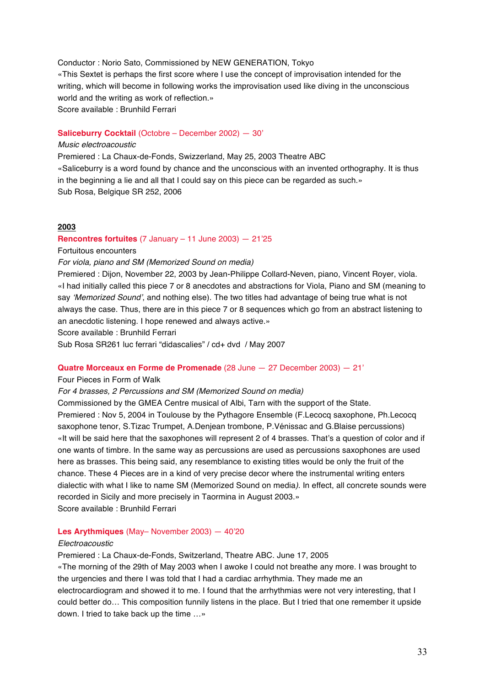# Conductor : Norio Sato, Commissioned by NEW GENERATION, Tokyo «This Sextet is perhaps the first score where I use the concept of improvisation intended for the writing, which will become in following works the improvisation used like diving in the unconscious world and the writing as work of reflection.» Score available : Brunhild Ferrari

### **Saliceburry Cocktail** (Octobre – December 2002) — 30'

#### *Music electroacoustic*

Premiered : La Chaux-de-Fonds, Swizzerland, May 25, 2003 Theatre ABC «Saliceburry is a word found by chance and the unconscious with an invented orthography. It is thus in the beginning a lie and all that I could say on this piece can be regarded as such.» Sub Rosa, Belgique SR 252, 2006

#### **2003**

### **Rencontres fortuites** (7 January – 11 June 2003) — 21'25

Fortuitous encounters

### *For viola, piano and SM (Memorized Sound on media)*

Premiered : Dijon, November 22, 2003 by Jean-Philippe Collard-Neven, piano, Vincent Royer, viola. «I had initially called this piece 7 or 8 anecdotes and abstractions for Viola, Piano and SM (meaning to say *'Memorized Sound'*, and nothing else). The two titles had advantage of being true what is not always the case. Thus, there are in this piece 7 or 8 sequences which go from an abstract listening to an anecdotic listening. I hope renewed and always active.»

Score available : Brunhild Ferrari

Sub Rosa SR261 luc ferrari "didascalies" / cd+ dvd / May 2007

#### **Quatre Morceaux en Forme de Promenade** (28 June — 27 December 2003) — 21'

#### Four Pieces in Form of Walk

#### *For 4 brasses, 2 Percussions and SM (Memorized Sound on media)*

Commissioned by the GMEA Centre musical of Albi, Tarn with the support of the State. Premiered : Nov 5, 2004 in Toulouse by the Pythagore Ensemble (F.Lecocq saxophone, Ph.Lecocq saxophone tenor, S.Tizac Trumpet, A.Denjean trombone, P.Vénissac and G.Blaise percussions) «It will be said here that the saxophones will represent 2 of 4 brasses. That's a question of color and if one wants of timbre. In the same way as percussions are used as percussions saxophones are used here as brasses. This being said, any resemblance to existing titles would be only the fruit of the chance. These 4 Pieces are in a kind of very precise decor where the instrumental writing enters dialectic with what I like to name SM (Memorized Sound on media*)*. In effect, all concrete sounds were recorded in Sicily and more precisely in Taormina in August 2003.» Score available : Brunhild Ferrari

# **Les Arythmiques** (May– November 2003) — 40'20

#### *Electroacoustic*

Premiered : La Chaux-de-Fonds, Switzerland, Theatre ABC. June 17, 2005

«The morning of the 29th of May 2003 when I awoke I could not breathe any more. I was brought to the urgencies and there I was told that I had a cardiac arrhythmia. They made me an electrocardiogram and showed it to me. I found that the arrhythmias were not very interesting, that I could better do… This composition funnily listens in the place. But I tried that one remember it upside down. I tried to take back up the time …»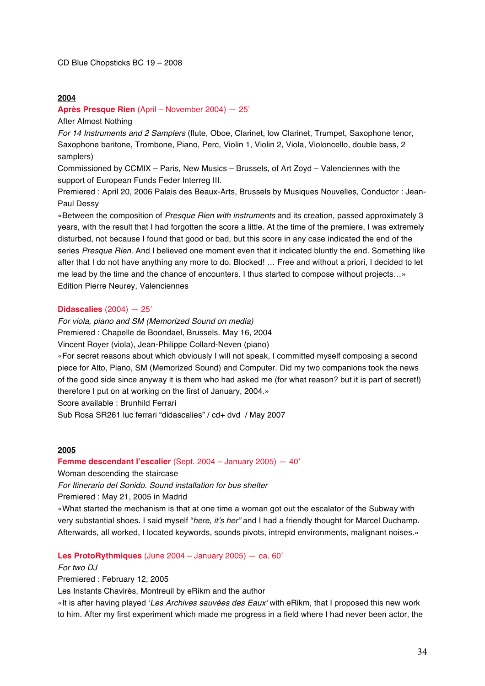CD Blue Chopsticks BC 19 – 2008

#### **2004**

#### **Après Presque Rien** (April – November 2004) — 25'

After Almost Nothing

*For 14 Instruments and 2 Samplers* (flute, Oboe, Clarinet, low Clarinet, Trumpet, Saxophone tenor, Saxophone baritone, Trombone, Piano, Perc, Violin 1, Violin 2, Viola, Violoncello, double bass, 2 samplers)

Commissioned by CCMIX – Paris, New Musics – Brussels, of Art Zoyd – Valenciennes with the support of European Funds Feder Interreg III.

Premiered : April 20, 2006 Palais des Beaux-Arts, Brussels by Musiques Nouvelles, Conductor : Jean-Paul Dessy

«Between the composition of *Presque Rien with instruments* and its creation, passed approximately 3 years, with the result that I had forgotten the score a little. At the time of the premiere, I was extremely disturbed, not because I found that good or bad, but this score in any case indicated the end of the series *Presque Rien*. And I believed one moment even that it indicated bluntly the end. Something like after that I do not have anything any more to do. Blocked! … Free and without a priori, I decided to let me lead by the time and the chance of encounters. I thus started to compose without projects…» Edition Pierre Neurey, Valenciennes

#### **Didascalies** (2004) — 25'

*For viola, piano and SM (Memorized Sound on media)*

Premiered : Chapelle de Boondael, Brussels. May 16, 2004

Vincent Royer (viola), Jean-Philippe Collard-Neven (piano)

«For secret reasons about which obviously I will not speak, I committed myself composing a second piece for Alto, Piano, SM (Memorized Sound) and Computer. Did my two companions took the news of the good side since anyway it is them who had asked me (for what reason? but it is part of secret!) therefore I put on at working on the first of January, 2004.»

Score available : Brunhild Ferrari

Sub Rosa SR261 luc ferrari "didascalies" / cd+ dvd / May 2007

### **2005**

#### **Femme descendant l'escalier** (Sept. 2004 – January 2005) — 40'

Woman descending the staircase

*For Itinerario del Sonido. Sound installation for bus shelter*

Premiered : May 21, 2005 in Madrid

«What started the mechanism is that at one time a woman got out the escalator of the Subway with very substantial shoes. I said myself "*here, it's her"* and I had a friendly thought for Marcel Duchamp. Afterwards, all worked, I located keywords, sounds pivots, intrepid environments, malignant noises.»

#### **Les ProtoRythmiques** (June 2004 – January 2005) — ca. 60'

#### *For two DJ*

Premiered : February 12, 2005

Les Instants Chavirés, Montreuil by eRikm and the author

«It is after having played '*Les Archives sauvées des Eaux'* with eRikm, that I proposed this new work to him. After my first experiment which made me progress in a field where I had never been actor, the